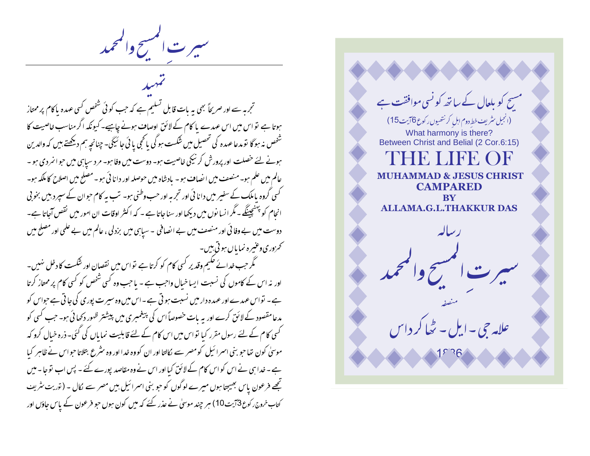سيرت المسح والمحمد

تجربہ سے اور صریحاً بھی یہ بات قابل تسلیم ہے کہ جب کوئی شخص کسی عہدہ پاکام پر ممتاز ہوتا ہے تو اس میں اس عہدے پا کام کے لائق اوصاف ہونے چاہیے۔ کیونکہ اگر مناسب خاصیت کا شخص نہ ہو گا تو مدعا عہدہ کی تحصیل میں شکست ہو گی یا کجی یا ئی جا ٹیچی۔ چنانچہ ہم دیکھتے ہیں کہ والدین ہونے لئے خصلت اور پرورش کرنیکی خاصیت ہو۔ دوست میں وفا ہو۔ مرد سیاہی میں حوائمردی ہو۔ عالم میں علم ہو۔ منصف میں ایضاف ہو۔ بادشاہ میں حوصلہ اور دانا ئی ہو۔مصلح میں اصلاح کا ملکہ ہو۔ گسی گروہ پاملک کے سفیر میں دانا ئی اور تجربہ اور حب وطنی ہو۔ تب بہ کام حبوان کے سپر دبیں بخو بی انحام کو پہنچینگے ۔ مگر انسا نوں میں دیکھا اور سنا جاتا ہے ۔ کہ اکثر اوقات ان امور میں نقص آجاتا ہے۔ دوست میں بے وفا ئی اور منصف میں بے انصافی ۔سیاہی میں بزدلی ، عالم میں بے علمی اور مصلح میں كحمزوري وعنيره نمايال ہو تي ہيں۔

گھر حب خدائے حکیم وقد پر کسی کام کو کرتا ہے تواس میں نقصان اور شکست کا دخل نہیں۔ اور نہ اس کے کاموں کی نسبت ایساخیال واجب ہے - یا جب وہ کسی شخص کو کسی کام پر ممتاز کرتا ہے۔ نواس عہدے اور عہدہ دار میں نسبت ہو تی ہے۔اس میں وہ سیرت پوری کی جاتی ہے حواس کو مدعامقصود کے لائق کرے اور یہ بات خصوصاً اس کی پیغمبری میں پیشنتر ظهور دکھائی ہو۔ جب کسی کو گسی کام کے لئے رسول مقرر کیا تواس میں اس کام کے لئے قابلیت نمایاں کی گئی۔ ذرہ خیال کرو کہ موسیٰ کون تھا حبو بنی اسمرا ئیل کومصر سے کالتا اور ان کووہ خدا اور وہ سٹرع بتلاتا حبواس نے ظاہر کیا ہے۔خدا ہی نے اس کو اس کام کے لائق کیا اور اس نے وہ مقاصد پورے کئے ۔ پس اب تو جا - میں تجھے فرعون پاس بھیجتا ہوں میرے لوگوں کو حو بنی اسرائیل ہیں مصر سے لکال ۔ (توریت *متر*یف کتاب خروج رکوع3آیت10) ہر چند موسیٰ نے عذر کئے کہ میں کون ہوں حبو فرعون کے پاس جاؤں اور

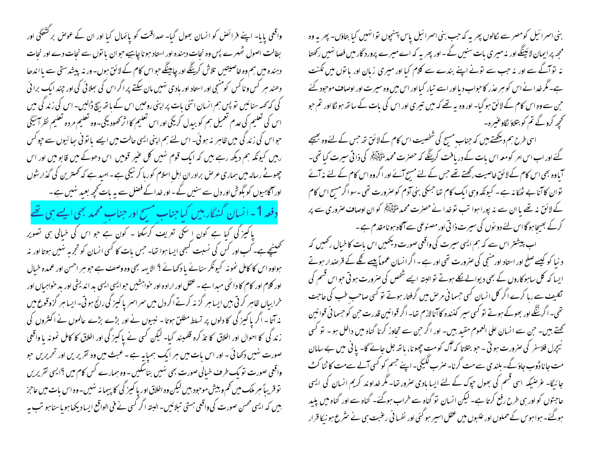بنی اسمرائیل کومصر سے لکالوں پھر یہ کہ حب بنی اسمرائیل پاس پہنچوں توانہیں کیا بتاؤں۔ پھر یہ وہ مجھ پر ایمان لائینگے اور نہ میر ی بات سنیں گے - اور پھر یہ کہ اے میرے پرورد گار میں فصا نہیں رکھتا نہ توآگے سے اور نہ حب سے تونے اپنے بندے سے کلام کیا اور میری زبان اور یا توں میں لکنت ہے۔مگر خدا نے اس کو ہر عذر کا حواب دیا اور اسے تیار کیا اور اس میں وہ سیرت اور اوصاف موحبود کئے ح بن سے وہ اس کام کے لائق ہو گیا۔ اور وہ ہہ تھے کہ میں تیبری اور اس کی بات کے ساتھ ہو نگا اور تم حبو کھچھ کروٹے تم کو بتلاؤ نگاوعنیرہ۔ اسی طرح ہم دیکھتے ہیں کہ جناب مسیح کی شخصیت اس کام کے لائق تھ جس کے لئے وہ بھیجے گئے اور اب اس امر کومعہ اس بات کے دریافت کرینگے کہ حصرت محمد السَّمْلِیْلِہِ کَی ذاتی سیرت کیا تھی۔

آباوہ بھی اس کام کے لائق خاصیت رکھتے تھے جس کے لئے مسیح آئے اور اگروہ اس کام کے لئے نہ آئے توان کاآنا بے ٹھکا نہ ہے ۔ کیونکہ وہی ایک کام تھا جسکی بنی آدم کوصرورت تھی ۔سواگرمسیح اس کام کے لائق نہ تھے یا ان سے نہ پورا ہوا تب تو خدا نے حصرت محمد ان ایک ایک ان اوصاف صروری سے پر کرکے بھیجاہوگااس لئے دو نوں کی سیرت ذا تی اور مصنوعی سے آگاہ ہونامقدم ہے ۔

اب پیشتر اس سے کہ ہم ایسی سپرت کی واقعی صورت دیکھیں اس بات کا خبال رکھیں کہ د نبا کو کیسے صلح اور استاد اور منجی کی صرورت تھی اور ہے ۔ اگر انسان عموماً پیسے گلے کے قرصدار ہوتے ایسا کہ کل ساہوکاروں کے بھی دیوالے لکلے ہوتے توالیتہ ایسے شخص کی صرورت ہو تی حواس قسم کی تکلیف سے رہا کرے اگر کل انسان کسی حسمانی مرحل میں گرفتار ہوتے تو کسی صاحب طب کی حاجت تھی۔ اگر ننگے اور بھوکے ہوتے تو کسی سیر کذندہ کا آنالازم تھا۔ اگر قوانین قدرت حن کو حسما فی قوانین تھتے ہیں۔ حبن سے انسان علی العموم مقید بیں۔ اور اگر حبن سے تجاوز کرنا گناہ میں داخل ہو۔ تو کسی نیچرل فلاسفر کی صرورت ہو تی ۔ حو بتلاتا کہ آگ کومتِ چھونا، بانھ جل جائے گا- یا فی میں بے سامان مت جانا ڈوب جاؤ گے۔ بلندی سے مت گرنا۔ صرب لکیکی۔ اپنے جسم کو کسی آلے سے مت کا ٹنا کٹ جائیگا- عرضیکہ اسی قسم کی بھول حپوک کے لئے ایسا بادی صرور تھا- مگر خداوند کریم انسان کی ایسی حاجتوں کو اور سی طرح رفع کرتا ہے۔ لیکن انسان تو گناہ سے خراب ہوگئے۔ گناہ سے اور گناہ میں پلید ہوگئے۔ہواہوس کے حملوں اور علبوں میں عقل اسیر ہو گئی اور نفسا فی رعنبت ہی نے سثر ع ہو نیکا قرار

واقعی پایا- اپنے فرائض کو انسان بھول گیا- صداقت کو پائمال کیا اور ان کے عوص بر کشعگی اور بطالت اصول ٹھہرے پس وہ نجات دہندہ اور استاد ہونا چاہیے حوان یا نوں سے نجات دے اور نجات دہندہ میں ہم وہ خاصیتیں تلاش کرینگے اور چاہینگے حواس کام کے لائق ہوں۔ ور نہ پیشدستی سے یا اندھا دھند ہر کس وناکس کومنٹجی اور استاد اور بادی نہیں مان سکتے پر اگر اس کی سِلائی کی اور چند ایک برا ئی کی کہ <sub>ک</sub>ھہ سنائیں تو پس ہم انسان اتنی بات پر اپنی روحیں اس کے باتھ بیچ ڈ<sup>ا</sup>لیں۔ اس کی زند گی میں اس کی تعلیم کی عدم لعمیل ہم کو ببدل کریگی اور اس تعلیم کااثر محصود یکی۔وہ تعلیم مردہ تعلیم نظر آئیگی حواس کی زند کی میں ظاہر نہ ہوئی۔ اس لئے ہم اپنی ایسی حالت میں ایسے با تو فی سائیوں سے حیوکس رہیں کیونکہ ہم دیکھ رہے ہیں کہ ایک قوم نہیں کل عنیر قومیں اس دھوکے میں قابو میں اور اس چھوٹے رسالہ میں ہماری عرص برادران اہل اسلام کورہا کر نیکی ہے۔امید ہے کہ تحمترین کی گذارشوں اوراکاہیوں کو بگوش اور دل سے سنیں گے - اور خدا کے فصل سے بہ بات کحچھ بعبد نہیں ہے ۔ دفعہ 1۔انسان گنہگار ہیں کیاجناب مسح اور جناب محمد بھی ایسے ہی تھے یا کمیز گی کیا ہے کون اِ سکی تعریف کرسکتا ۔ کون ہے جو اس کی خیالی ہی تصویر تحصینچےہے۔ کب اور کس کی نسبت کہجی ایسا ہوا تھا۔ جس بات کا کسی انسان کو تجربہ نہیں ہوتا اور نہ ہواوہ اس کا کامل نمونہ کیونکر سنائے پا دکھائے ؟ الا یہہ بھی وہ وصف ہے حبو ہر احسن اور عمدہ خیال اور کلام اور کام کا دائمی میدا ہے ۔ عقل اور ارادہ اور خواہشیں حبو ایسی ایسی بد اندیشی اور بد حواہبال اور خرابیاں ظاہر کرتی ہیں ایسا ہر گزینہ کرتے اگر دل میں سر اسر یا کمیز کی رائج ہوتی۔ ایسا ہر گزوقوع میں نہ آتا - اگر پا کمیز کی کا دلوں پر تسلط مطلق ہوتا - نبیوں نے اور بڑے بڑے عالموں نے اکثروں کی زند گی کا احوال اور اخلاق کا تذکرہ قلمبند کیا۔ لیکن کسی نے پاکیز گی اور اخلاق کا کامل نمونہ یا واقعی صورت نہیں دکھائی ۔ اور اس بات میں ہر ایک ہمیا یہ ہے ۔ عبث میں وہ تقریر یں اور تحریریں حبو واقعی صورت نو یک طرف خیالی صورت بھی نہیں بناسکیں -وہ ہمارے کس کام میں ؟ایسی تقریریں توقریباً ہر ملک میں تھم و بیش موحبود ہیں لیکن وہ اخلاق اور یا کیپز گی کا پیما نہ نہیں۔وہ اس بات میں عاجز بیں کہ ایسی محسن صورت کی واقعی ہستی تبلائیں۔البتہ اگر کسی نے فی الواقع ایسادیکھا ہو ماسنا ہو تب یہ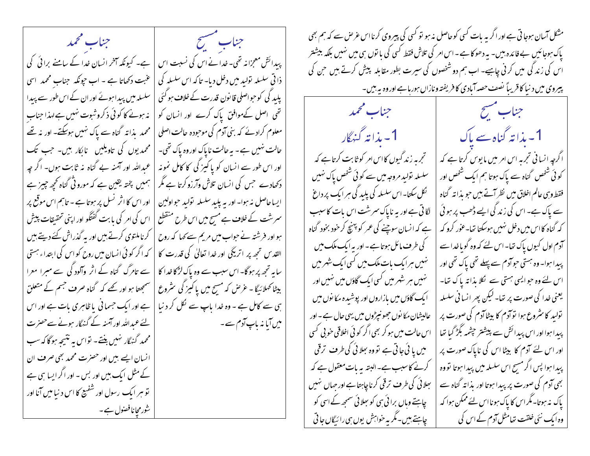جناب مسسح فسنستلخص المستحملين ومحمد پیدائش معجزانہ تھی۔خدانے اس کی نسبت اس | ہے۔ کیونکہ آخر انسان خدا کے سامنے برائی کی ذا قی سلسلہ تولید میں دخل دیا- تا کہ اس سلسلہ کی | عنبت دکھاتا ہے - اب حیونکہ جناب محمد اسی پلید کی کوحواصلی قانون قدرت کے خلاف ہو گئی | سلسلہ میں پیدا ہوئے اور ان کے اس طور سے پیدا تھی ِ اصل کےموافق پاک کرے اور انسان کو | نہ ہونے کا کوئی ذکروشوت نہیں ہے لہذا جناب معلوم کرادئے کہ بنی آدم کی موحودہ حالت اصلی | محمد یذانہ گناہ سے پاک نہیں ہوسکتے۔ اور یہ تھے حالت نہیں ہے۔ یہ حالت ناپاک اور وہ پاک تھی۔ | محمد یوں کی تاویلیں نابکار بیں۔ جب تک اور اس طور سے انسان کو پاکیز گی کا کامل نمونہ | عبداللہ اور آمنہ بے گناہ نہ ثابت ہوں۔ اگر جہ دکھادے جس کی انسان تلاش وآرزو کرتا ہے مگر | ہمیں پختہ یقین ہے کہ مورو ٹی گناہ تحچہ چیز ہے ایساحاصل نہ ہوا۔ اور یہ پلید سلسلہ تولید حواولین | اور اس کا اثر نسل پر ہوتا ہے ۔ تاہم اس موقع پر سمرشت کے خلاف ہے مسح میں اس طرح منقطع | اس کی امر کی یا بت گفتگو اور اپنی تحقیقات پیش ہو اور فرشتہ نے حواب میں مریم سے کہا کہ روح | کرناملتوی کرتے ہیں اور یہ گذراش کئے دیتے ہیں | القد س تجھ پر اتر یکی اور غدا تعالیٰ کی قدرت کا | کہ اگر کو ئی انسان میں روح کواس کی ابتداء ہستی سابہ تجھ پر ہوگا۔اس سبب سے وہ پاک لڑکا خدا کا | سے تامرگ گناہ کے اثر وآلود گی سے مبرا معرا بیٹا کھلائیگا - عرِّ ص کہ مسیح میں یا کیمز گی سٹروع | سمجھتا ہو اور تھے کہ گناہ صرف جسم کے متعلق | ہے اور ایک حسمانی یا ظاہری بات ہے اور اس ہی سے کامل ہے ۔ وہ خدا پاپ سے نکل کر د نیا | لئے عمداللہ اور آمنہ کے گنہگار ہونے سے حصرت میں آیا نہ باپ آدم سے۔ | محمد گنهگار نهیں بنتے۔ تواس به نتیجه ہوگا کہ سب انسان ایسے ہیں اور حصرت محمد بھی صرف ان کے مثل ایک بیں اور بس - اور اگر ایسا ہی ہے قو ہر ایک رسول اور شفیع کا اس د نیا میں آنا اور شورمچانافصول ہے۔

مشکل آسان ہوجا تی ہے اور اگر بہ بات کسی کوحاصل نہ ہو تو کسی کی پیروی کرنااس عرص سے کہ ہم بھی پاک ہوجائیں بے فائدہ بیں۔ یہ دھوکاہے۔اس امر کی تلاش فقط کسی کی با توں ہی میں نہیں بلکہ بیشتر اس کی زند کی میں کر نی چاہیے۔ اب ہم دو شخصوں کی سیرت بطور مقابلہ پیش کرتے ہیں حن کی پیروی میں دنیا کا قریباً نصف حصہ آبادی کا فریفتہ ونازاں ہورہاہے اوروہ یہ بیں۔

جناب محمد 1 - بذا تەڭنىگار تجرمہ زند گیوں کااس امر کو ثابت کرتاہے کہ سلسلہ تولید مروجہ میں سے کوئی شخص پاک نہیں گل سکتا-اس سلسلہ کی پلید کی ہر ایک پر داغ لگاتی ہے اور یہ ناپاک سمرشت اس بات کاسبب ہے کہ ا نسان سوچنے کی عمر کو پہنچ کر خود بخود گناہ کی طرف مائل ہوتا ہے۔اور یہ ایک ملک میں نہیں ہرایک بات ملک میں کسی ایک شہر میں نہیں ہر شہر میں کسی ایک گاؤں میں نہیں اور ایک گاؤں میں بازاروں اور پوشیدہ مکانوں میں عالیشان مکانوں جھونپڑوں میں یہی حال ہے۔اور اس حالت میں ہو کر بھی اگر کوئی اخلاقی خو بی کسی میں یا ئی جاتی ہے تووہ سِلائی کی طرف ترقی کرنے کاسبب ہے۔البتہ یہ مات معقول ہے کہ بھلائی کی طرف ترقی کرناچاہتاہے اور حہاں نہیں چاہتے وہاں برائی ہی کو بھلائی سمجھ کے اسی کو چاہتے ہیں۔مگر بہ خواہش پوں ہی رائیگاں جا تی

جناب مشيح 1۔ بذا تہ گناہ سے پاک اگرچہ انسا فی تجربہ اس امر میں مایوس کرتا ہے کہ کوئی شخص گناہ سے پاک ہوتا ہم ایک شخص اور فقط وہی عالم اخلاق میں نظر آتے ہیں حبو بذائہ گناہ سے پاک ہے۔ اس کی زند گی ایسے ڈھب پر ہوئی که گناه کااس میں دخل نہیں ہوسکتا تھا۔عور کرو کہ آدم اول کیوں پاک تھا۔اس لئے کہ وہ گویاخداسے پیدا ہوا۔ وہ ہستی حوادم سے پہلے تھی پاک تھی اور اس لئے وہ حوالیبی مہتی سے گلا بذاتہ پاک تعا۔ یعنی خدا کی صورت پر تھا۔لیکن پھر انسانی سلسلہ نولید کا سثروع ہوا نوآدم کا بیٹاآدم کی صورت پر پیدا ہوا اور اس پیدائش سے پیشتر چشمہ بگڑ گیا تھا اور اس لئے آدم کا بیٹا اس کی ناپاک صورت پر پیدا ہوا پس اگر مسح اس سلسلہ میں پیدا ہوتا تووہ بھی آدم کی صورت پر پیدا ہوتا اور بذا تہ گناہ سے یاک نہ ہوتا۔مگراس کا پاک ہونااس لئے ممکن ہوا کہ وہ ایک سُی خلقت تعامثل آدم کے اس کی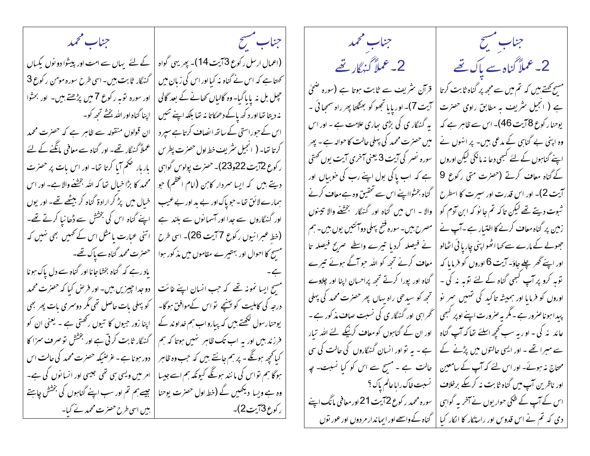جناب محمد جناب مشيح جناب محمد الجناب مشتح المستحصل المستعمل المستعمل (اعمال ارسل رکوع 3 آیت 14)۔ پھریہی گواہ | کے لئے یہاں سے امت اور پیشوا دو نوں یکساں 2۔ عملاً گناہ سے پاک تھے 2- عملاً گنہگار تھے گښگار ثابت بين-اسي طرح سوره مومن رکوع 3 <sup>س</sup>حہتا ہے کہ اس نے گناہ نہ کیااور اس کی زبان میں قرآن نثریف سے ثابت ہوتا ہے (سورہ ضحیٰ مس<del>ح کھتے،بی</del>ں کہ تم میں سے مجھ پر گناہ ثابت کرتا حچیل بل نہ پایا گیا- وہ گالیاں کھانے کے بعد گالی اور سورہ توبہ رکوع 7میں پڑھتے ہیں۔ اور بحثوا آيت 7)- اور پا يا تجھو کو بھٹکتا پھر راہ سمھائی -ہے ( انجیل سٹریف یہ مطابق راوی حصرت نہ دیتا تھااور د کھ پاکے دھمکاتا نہ تھا بلکہ اپنے تئیں | اپنا گناه اور الله بخشے تحجھ کو۔ یہ گنہگار ی کی بڑی ساری علامت ہے ۔ اور اس یوحنا رکوع 8آیت 46)۔ اس سے ظاہر ہے کہ ان قولوں منقولہ سے ظاہر ہے کہ حصرت محمد اس کے حبوراستی کے ساتھ انصاف کرتاہے سپر د میں حصرت محمد کی پہلی حالت کا حوالہ ہے ۔ پھر وہ اپنی بے گناہی کے مدعی ہیں۔ پر انہوں نے عملاً گنہگار تھے۔ اور گناہ سے معافی مانگنے کے لئے كرتا ت<sub>فا-</sub> ( انجيل *مثر*يف خط اول حصرت پطرس سوره نصر کی آیت 3 یعنی آخری آیت یوں تھتی اپنے گناہوں کے لئے کسجی دعا نہ مانگی لیکن اوروں | باربار صحم آیا کرتا ت<sub>ف</sub>ا- اور اس بات پر حصرت ر کوع 2آیت 22و23)۔ حصرت پولوس گواہی ہے کہ اب پاکی بول اپنے رب کی حوبیاں اور کے گناہ معاف کرتے (حصرت متی رکوع 9 | محمد کا بڑا خیال تھا کہ اللہ بخشنے والا ہے۔ اور اس دیتے ہیں کہ ایسا سردار کاہن (امام اعظم) جو گناہ بخثوااپنے اس سے تحقیق وہ ہےمعاف کرنے آیت 2)- اور اس قدرت اور سپرت کا اسطرح | خیال میں پڑ کر ارادۃ گناہ کر بی<u>ٹھے تھ</u>ے۔ اور یوں ہمارے لائق تھا۔حویاک اور بے بد اور بے عیب ِ ثبوت دیتے تھے لیکن تاکہ تم جا نو کہ ابن آدم کو | والا ۔ اس میں گناہ اور گنہگار تجشُّفے والا تیبنوں اپنے گناہ اس کی بخشش سے ڈھانیا کرتے تھے۔ اور گنہگاروں سے جدا اور آسمانوں سے بلند ہے مصرح ہیں۔سورہ فتح پہلی دوآئتیں یوں ہیں۔ہم زمین پر گناہ معاف کرنے کا اختیار ہے ۔آپ نے | اتنی عبارت یامثل اس کے ٹھیں بھی نہیں کہ (خط عبرانیوں رکوع 77یت 26)۔ اسی طرح جھولے کے مارے سے کہا اٹھواپنی چاریا ئی اٹھالو نے فیصلہ کردیا تیرے واسطے صریح فیصلہ تا مسح کا احوال اور بہتیرے مقاموں میں مذکور ہوا | حصرت محمد گناہ سے پاک تھے۔ معاف کرنے تجھ کو اللہ حو آگے ہوئے تیرے اور اپنے ٹھر پلے جاؤ۔ آیت 6 اوروں کو فرمایا کہ | یاد رہے کہ گناہ بخشاجانا اور گناہ سے دل پاک ہونا توبہ کرو پر آپ کبھی گناہ کے لئے توبہ نہ کی ۔ گناہ اور پورا کرتے تجھ پراحسان اپنا اور چلاوے مسح ایسا نمونہ تھے کہ جب انسان اپنے غائت | دوجدا جیبرٰیں ہیں۔ اور فرص کیا کہ حصرت محمد اوروں کو فرمایا اور ہمیشہ تاکید کی تہیں سمر نو | تجھ کو سیدھی راہ یہاں پھر حصرت محمد کی پہلی درجہ کی کاملیت کو پہنچے تو اس کےموافق ہوگا۔ | کو پہلی بات حاصل تھی مگر دوسمری بات پھر بھی پبدا ہوناصرور ہے۔مگر یہ صرورت اپنے اوپر کبھی | گھراہی اور گنگار ی کی نسبت صاف مذکور ہے ۔ | اپنا زور حبیوں کا تیوں رکھتی ہے ۔ یعنی ان کو یوحنارسول لکھتے ہیں کہ پیارواب ہم خداوند کے عائد یہ کی - او ربہ سب کچھ اسلئے تعاکد آپ گناہ | اور ان کے گناہوں کو معاف کرنیکے لئے اللہ تبار ۔<br>فرزند بیں اور یہ اب تک ظاہر ہنیں ہوتا کہ ہم | گنہگار ثابت کرتی ہے اور بخشش تو صرف سزا کا سے مہرا تھے ۔ اور ایسی حالتوں میں پڑنے کے | ہے ۔ بہ تو اور انسان گنہگاروں کی حالت کی سی کیانچھ ہوگئے ۔ پر ہم جانتے ہیں کہ حب وہ ظاہر | دور ہونا ہے ۔ غرضیکہ حصرت محمد کی حالت اس محتاج نہ ہوئے۔ اور اس لئے کہ آپ کے سامعین | حالت ہے ۔ مسح سے اس کو کیا نسبت۔ جہ ہوگا ہم تواس کی مانند ہونگے کیونکہ ہم اسے جیسا | امر میں ویسی ہی تھی جیسی اور انسانوں کی ہے۔ اور ناظرین آپ میں گناہ ثابت نہ کرسکے برخلاف | نسبت *خ*اک رایاعالم پاک ؟ وہ ہے ویسا دیکھیں گے (خط اول حصرت یوحنا | جیسے ہم تم اور سب اپنے گناہوں کی بخشش جاہتے سورہ محمد ر کوع 27یت 21 اور معافی مانگ اپنے اس کے آپ کے شکی حوار یوں نے آخر بہ گواہی | دی کہ تم نے اس قدوس اور راستکار کا انکار کیا | گناہ کےواسے اور ایماندار مردوں اور عور نوں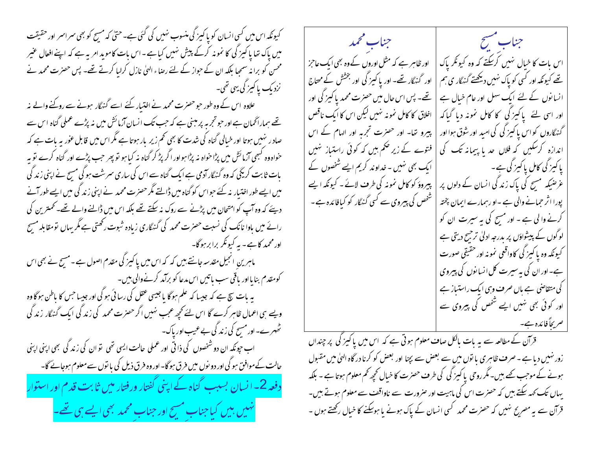کیونکہ اس میں کسی انسان کو یا کیمز گی منسوب نہیں کی گئی ہے۔حتیٰ کہ مسح کو بھی سمراسمر اور حقیقت أستشحي المحمد جناب مشيح میں پاک تھا پاکپز کی کا نمونہ کرکے پیش نہیں کیاہے۔اس بات کاموید امریہ ہے کہ اپنےافعال عنیر اس بات کا خیال نہیں کرسکتے کہ وہ کیونکر پاک اور ظاہر ہے کہ مثل اوروں کے وہ بھی ایک عاحز محسن کو برا نہ سمجا بلکہ ان کے حواز کے لئے رضاء الهیٰ نازل کرایا کرتے تھے۔ پس حصرت محمد نے تھے کیونکہ اور کسی کو پاک <sup>مہ</sup>یں دیکھتے گنہگار ی ہم اور گنہگار تھے۔ اور پا کمیز گی اور بخشش کے مساج نزدیک پاکیز گی یہی تھی۔ تھے۔ پس اس حال میں حصرت محمد پا کہیز گی اور انسانوں کے لئے ایک سہل اور عام خیال ہے علاوہ اس کے وہ طور حبو حصرت محمد نے اختیار کئے اسے گنہگار ہونے سے روکنے والے پنہ اخلاق کا کامل نمونہ نہیں لیکن اس کا ایک ناقص اور اسی لئے پاکیز گی کا کامل نمونہ دیا گیاکہ تھے ہماراٹھمان ہے اور حبو تجربہ پر مبنی ہے کہ جب تک انسان آزمائش میں نہ پڑے عملی گناہ اس سے پیرو تھا۔ اور حصرت تجربہ اور الہام کے اس گنهٔ گاروں کواس یا کیز کی کی امید اور شوق ہوا اور صاد ر نہیں ہوتا اور خیالی گناہ کی شدت کا بھی تھم زیر پار ہوتا ہے مگر اس میں قابل عور یہ بات ہے کہ اندازہ کرسکیں کہ فلاں حدیا پیمانہ تک کی فتوے کے زیر حکم ہیں کہ کوئی راستیاز تہیں خواہ وہ کبھی آزمائش میں پڑا حواہ نہ پڑا ہواور اگر پڑ کر گناہ نہ کبا ہو تو پھر حب پڑے اور گناہ کرے تو پہ ایک بھی نہیں ۔ خداوند کریم ایسے شخصوں کے | پاکیز کی کامل پاکیز کی ہے۔ بات ثابت کریگی کہ وہ گنہگار آدمی ہے ایک گناہ سے اس کی ساری سمرشت ہو گی مسح نے اپنی زند گی عرضیکہ مسح کی پاک زند گی انسان کے دلوں پر پیروؤ کو کامل نمونہ کی طرف لائے ۔ کیونکہ ایسے میں ایسے طور اختیار نہ کئے حبواس کو گناہ میں ڈالتے مگر حصرت محمد نے اپنی زند گی میں ایسے طور آنے شخص کی پیروی سے کسی گنہگار کو کیافائدہ ہے ۔ پورا اثر حمانے والی ہے ۔او رہمارے ایمان پختہ دیئے کہ وہ آپ کو امتحان میں پڑنے سے روک نہ سکتے تھے بلکہ اس میں ڈالنے والے تھے۔ تحمترین کی کرنے والی ہے ۔ اور مسح کی یہ سیرت ان کو رائے میں باوا نانک کی نسبت حصرت محمد کی گنہگاری زیادہ شبوت رکھتی ہے مگر بہاں تومقابلہ مسح لوگوں کے پیشواؤں پر بدرجہ ادلیٰ ترجیح دیتی ہے اور محمد کاہے۔ یہ کیونکر برابر ہوگا۔ کیونکه وه یا کیز گی کاواقعی نمونه اور حقیقی صورت ماہرین انجیل مقدسہ جانتے ہیں کہ کہ اس میں پاکیز گی مقدم اصول ہے۔مسج نے بھی اس ہے۔اور ان کی بہ سیرت کل انسانوں کی پیروی کومقدم بنایااور باقی سب باتیں اس م*دعا کو بر*آمد کرنےوالی بیں۔ کی متقاضی ہے ہاں صرف وہی ایک راستیاز ہے بہ بات سچ ہے کہ جیسا کہ علم ہوگا یاجیسی عقل کی رسائی ہو گی اور جیسا جس کا باطن ہوگا وہ اور کوئی بھی نہیں ایسے شخص کی پیروی سے ویے ہی اعمال ظاہر کرے گا اس لئے تحچیہ عجب نہیں اگر حصرت محمد کی زند گی ایک گنہگار زند گی ٹھہرے۔اور مسح کی زند کی بے عیب اور پاک۔ قرآن کے مطالعہ سے یہ بات پالکل صاف معلوم ہوتی ہے کہ اس میں پاکیز گی پر چنداں اب حیونکہ ان دو شخصوں کی ذاتی اور عملی حالت ایسی تھی تو ان کی زند گی بھی اپنی اپنی زور نہیں دیا ہے ۔ صرف ظاہر ی یا توں میں سے بعض سے بچنا اور بعض کو کرنا در گاہ الہیٰ میں مقبول حالت کے موافق ہو گی اور دو نوں میں فرق ہو گا- اور وہ فرق ذیل کی با توں سے معلوم ہوجائے گا-ہونے کے موجب کھے بیں۔مگر روحی پاکیز گی کی طرف حصرت کا خیال کجھ کھم معلوم ہوتا ہے - بلکہ دفعہ 2۔ انسان بسبب گناہ کے اپنی گفتار ورفتار میں ثابت قدم اور استوار یہاں تک کہہ سکتے ہیں کہ حصرت اس کی ماہیت اور صرورت سے ناواقف سے معلوم ہوتے ہیں۔ قرآن سے یہ مصریح نہیں کہ حصرت محمد کسی انسان کے پاک ہونے یا ہوسکنے کا خیال رکھتے ہوں ۔ مہیں ہیں کیا جناب مسح اور جناب محمد بھی ایسے ہی <u>تھ</u>ے۔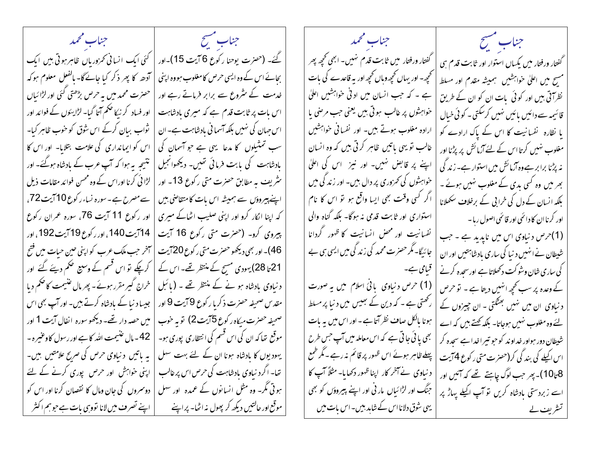جناب مشيح فسينتسخ المستعجب المجتمد جناب محمد جناب سنسح گئے۔ (حصرت یوحنا رکوع 6 آیت 15)۔اور | کئی ایک انسانی تحرزورباں ظاہر ہوتی ہیں ایک گفتار ورفتار میں ثابت قدم نہیں۔ ابھی تحجیے پھر گفتار ورفتار میں یکساں استوار اور ثابت قدم ہی بحائے اس کے وہ ایسی حرص کامغلوب ہووہ اپنی | آدھہ کا پھر ذکر کیا جانےگا- بالفعل معلوم ہو کہ تحجیے۔ اور یہاں تحجی*ے وہ*اں تحجی*ے اور* یہ قاعدے کی بات مسح میں اعلیٰ خواہشیں ہمیشہ مقدم اور مسلط حصرت محمد میں بہ حرص بڑھتی گئی اور لڑا ئیاں خدمت کے سٹروع سے برابر فرماتے رہے اور ہے ۔ کہ جب انسان میں ادنی خواہشیں اعلیٰ نظر آتی ہیں اور کوئی بات ان کو ان کے طریق | اور فساد کر نیکا ض<del>ک</del>م آ<sub>تا</sub> گیا۔ لڑا یئوں کے فوائد اور اس مات پر ثابت قدم ہے کہ میری بادشاہت خواہشوں پر غالب ہوتی ہیں یعنی جب مرصٰی یا قائیمہ سے دائیں پائیں نہیں کرسکتی۔ کوئی خیال | نْواب بیان کرکے اس شوق کو خوب ظاہر کیا۔ اس جہان کی نہیں بلکہ آسما فی بادشاہت ہے۔ان ارادہ مغلوب ہوتے ہیں۔ اور نفسانی خواہشیں یا نظارہ نفسانیت کا اس کے پاک ارادے کو سب تمثیلوں کا مدعا یہی ہے جو آسمان کی | اس کو ایمانداری کی علامت بتلایا۔ اور اس کا غالب تو یہی باتیں ظاہر کرتی ہیں کہ وہ انسان مغلوب ہنیں کرتا اس کے لئے آزمائش پر پڑنا اور بادشاہت کی بابت فرمائی تھیں۔ دیکھوانجیل | نتیجہ بہ ہوا کہ آپ عرب کے بادشاہ ہوگئے۔ اور اپنے پر قابض ہنیں۔ اور نیز اس کی اعلیٰ نه پڑنا برابر ہےوہ آزمائش میں استوار ہے۔ زند گی ہثریف یہ مطابق حصرت متی رکوع 13۔ اور | لڑائی کرنا اوراس کے وہ محس فوائد مقامات ذیل خواہشوں کی تھروری پر دال ہیں۔ اور زند کی میں بھر میں وہ کسی بدی کے مغلوب نہیں ہوئے ۔ اپنے پیروؤں سے ہمیشہ اس بات کامتقاضی بیں | سے مصرح ہے۔سورہ نساء رکوع10 آیت 72، اگر کسی وقت بھی ایسا واقع ہو تو اس کا نام بلکہ انسان کے دل کی خرابی کے برخلاف سکھلانا کہ اپنا انکار کرو اور اپنی صلیب اٹھاکے میری | اور رکوع 11 آیت 76، سورہ عمران رکوع استواری اور ثابت قدمی نه ہوگا- بلکہ گناہ والی اور کرنا ان کا دائمی اور قائمی اصول رہا ۔ پیروی کرو۔ (حضرت متی رکوع 16 آیت | 14آیت 140، اور رکوع19آیت 192، اور نفسانیت اور محض انسانیت کا ظهور گردانا (1)حرص د نیاوی اس میں نایدید ہے ۔جب جائیگا۔ مگر حصر ت محمد کی زند کی میں ایسی ہی بے ِ 46)۔ اور بھی دیکھو حصرٰت متی رکوع 20 آیت | سخر حب ملک عرب کو اپنی حین حیات میں فتح شیطان نےاسمیں د نیا کی ساری بادشاہتیں اور ان 21 تا 28) یہودی مسح کے منتظر تھے۔ اس کے | کرچکے تو اس قسم کے وسیع حکم دیئے گئے اور کی ساری شان وشو کت دکھلاتا ہے اورسحدہ کرنے | قبیامی ہے۔ د نباوی بادشاہ ہو نے کے منتظر تھے ۔ (بائبل | خراج گیر مقرر ہوئے۔ پھرمال عنیمت کا حکم دیا (1) حرص د نیاوی بافئ اسلام میں یہ صورت کے وعدہ پر سب کحچھ انہیں دیتا ہے ۔ تو حرص مقد س صحیفہ حصرت ذکر یا رکوع 9 آیت 9 اور | جیسا د نیا کے بادشاہ کرتے ہیں۔ اور آپ بھی اس رکھتی ہے ۔ کہ دین کے بھیس میں د نیا پر مسلط د نیاوی ان میں نہیں بھٹکتی - ان چیزوں کے ہونا بالکل صاف نظر آتا ہے۔ اور اس میں یہ بات صحيفه حصرت ميكاه ركوع 5آيت 2) توبه خوب | ميں حصه دار تھے- ديكھو سوره انفال آيت 1 اور لئے وہ مغلوب نہیں ہوجاتا۔ بلکہ کھتے ہیں کہ اے موقع تھا کہ ان کی اس قسم کی انتظاری پوری ہو۔ | 42- مال عنسیمت اللہ کا ہے اور رسول کاوعنیر ہ ۔ بھی یائی جاتی ہے کہ اس معاملہ میں آپ جس طرح شیطان دور ہواور خداوند کو حو تیراخداہے سحدہ کر یہودیوں کا بادشاہ ہونا ان کے لئے بہت سہل | بہ پاتیں دنیاوی حرص کی صریح علامتیں بیں۔ پہلے ظاہر ہوئے اس ظہور پر قائم نہ رہے۔مگر طمع اس اکیلے کی بند کی کر(حصرت متی ر کوع 4 آیت تھا۔ اگرد نیاوی بادشاہت کی حرص اس پر غالب | اپنی خواہش اور حرص پوری کرنے کے لئے د نیاوی نے آخر کار اپنا ظهور دکھایا۔ مثلاً آپ کا 8تا10)۔ پھر جب لوگ چاہتے تھے کہ آئیں اور ہوتی مگر۔ وہ مثل انسانوں کے عمدہ اور سهل | دوسروں کی جان ومال کا نقصان کرنا اور اس کو جنگ اور لڑائیاں مار ٹی اور اپنے پیروؤں کو بھی اسے زبردستی بادشاہ کریں تو آپ اکیلے پہاڑ پر موقع اور حالتیں دیکھ کر پھول نہ اٹھا- پر اپنے کے پانچ تصرف میں لانا تووہی بات ہے حوہم اکثر یہی شوق دلانااس کے شاہد بیں۔اس بات میں تشریف لے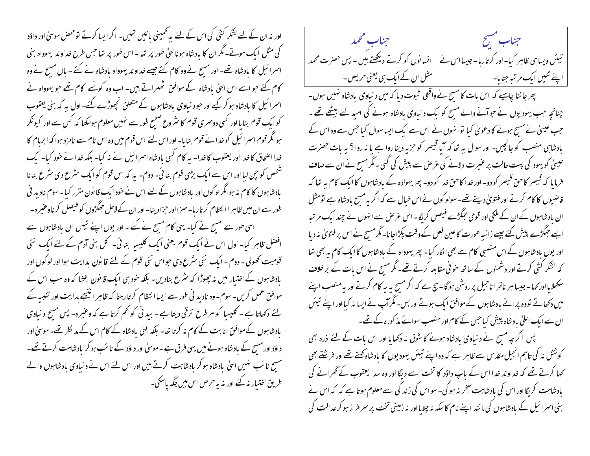اور نہ ان کے لئے کشکر کشی کی اس کے لئے پیرٹمپنی باتیں تھیں۔ اگر ایسا کرتے تومحض موسیٰ اور داؤد کی مثل ایک ہوتے۔ مگر ان کا بادشاہ ہونا لهیٰ طور پر تھا - اس طور پر تھا جس طرح خداوند یہوواہ بنی اسمرائیل کا بادشاہ تھے۔ اور مسج نے وہ کام کئے جیسے خداوند یہوواہ بادشاہ نے کئے ۔ باں مسج نے وہ کام کئے حبو اسے اس الہیٰ بادشاہ کے موافق شمہراتے ہیں۔ اب وہ کونے کام تھے حبو یہوواہ نے اسمرائیل کا بادشاہ ہوکر کیے اور حبو د نیاوی بادشاہوں کے متعلق نمچھوڑے گئے۔ اول ہہ کہ بنی یعقوب کوایک قوم بنایا اور کسی دوسمری قوم کا سثروع صحیح طور سے نہیں معلوم ہوسکتا کہ کس سے اور کیونکر ہوامگر قوم اسمرا ئیل کوخدا نے قوم بنایا۔ اور اس لئے اس قوم میں وہ اس نام سے نامزد ہوا کہ ابرہام کا خدا اضحاق کا خدا اور یعقوب کا خدا۔ بہ کام کسی بادشاہ اسمرائیل نے نہ کیا۔ بلکہ خدا نے خود کیا۔ ایک شخص کو حپن لبا اور اس سے ایک بڑی قوم بنا ئی۔ دوم۔ یہ کہ اس قوم کو ایک سٹرع دی سٹرع بنانا بادشاہوں کا کام نہ ہوامگر لوگوں اور بادشاہوں کے لئے اس نے خود ایک قانون مقرر کیا۔سوم نادید فی طور سے ان میں ظاہر اا نتظام کر تاربا۔ سمزااور حمزا دینا۔ اور ان کے لاحل حبگڑوں کو فیصل کرناوعنیر ہ۔ اسی طور سے مسیح نے کیا۔ یہی کام مسیح نے کئے ۔ اور یوں اپنے تیئں ان مادشاہوں سے افضل ظاہر کیا۔ اول اس نے ایک قوم یعنی ایک کلیسا بنائی۔ کل بنی آدم کے لئے ایک نئی قومیت کھولی - دوم ۔ایک نئی سٹرع دی حواس نئی قوم کے لئے قانون بدایت ہوا اور لوگوں اور بادشاہوں کے اختیار میں نہ چھوڑا کہ سٹرع بنادیں۔ بلکہ حنود ہی ایک قانون بخشا کہ وہ سب اس کے موافق عمل کریں۔سوم۔وہ نادید فی طور سے ایسا انتظام کرتارہتا کہ ظاہر انتیجے ہدایت اور تنبیہ کے لئے دکھاتا ہے ۔ کلیسا کو ہرطرح ترقی دیتا ہے - بید نی کو کم کرتا ہے کہ وعنیرہ- پس مسح د نباوی بادشاہوں کے موافق انا بت کے کام نہ کرتا تھا۔ بلکہ الهیٰ بادشاہ کے کام اس کے مد نظر تھے۔ موسیٰ اور داؤد اور مسیح کے بادشاہ ہونے میں یہی فرق ہے۔موسیٰ اور داؤد کے نا سَب ہو کر بادشاہت کرتے تھے۔ مسج نا سَب نہیں الہیٰ بادشاہ ہو کر بادشاہت کرتے ہیں اور اس لئے اس نے د نباوی بادشاہوں والے طریق اختیار نہ کئے اور نہ یہ حرص اس میں جگہ پاسکی۔

جناب سيتمح فسينتسخ المستعمل المتحتف المتحمد تیئں ویسا ہی ظاہر کیا- اور کرتارہا - جیسا اس نے | انسانوں کو کرتے دیکھتے ہیں - پس حصرت محمد اپنے تئیں ایک مرتبہ جتایا- مسلمان ان کے ایک ہی یعنی حریص -پھر جا ننا چاہیے کہ اس بات کامسح نے واقعی شبوت دیا کہ میں د نیاوی پادشاہ نہیں ہوں۔ چنانچہ حب یہودیوں نے حوآنے والے مسیح کوایک د نباوی بادشاہ ہونے کی امید لئے بیٹھے تھے ۔ جب عیسیٰ نے مسیح ہونے کا دعویٰ کیا توانہوں نے اس سے ایک ایسا سوال کیا جس سے وہ اس کے بادشاہی منصب کوجانچیں۔ اور سوال یہ تعاکہ آیا قیصر کو حزبہ دینا روا ہے یا نہ روا ؟ یہ بات حصرت عیسیٰ کو یہود کی پست حالت پر عنیرت دلانے کی عرص سے پیش کی گئی ۔ مگر مسح نے ان سے صاف فرمایا کہ قبیصر کاحق قبیصر کو دو۔اور خدا کاحق خدا کو دو۔ بھر یہوادہ کے بادشاہوں کا ایک کام یہ تعا کہ قاضیوں کا کام کرتے اور فتویٰ دیتے تھے۔سولوگوں نے اس خیال سے کہ اگر یہ مسج بادشاہ ہے تومثل ان بادشاہوں کے ان کے ملکی اور قومی حبکڑے فیصل کر یگا۔ اس عرص سے انہوں نے چند ایک مرتبہ ایسے حِمَکڑے پیش کئے جیسے زانبہ عورت کاعین فعل کے وقت پکڑاجانا۔ مگرمسح نے اس پر فتویٰ نہ دیا اور یوں بادشاہوں کے اس منصبی کام سے بھی اکار کیا۔ پھر یہوداہ کے بادشاہوں کاایک کام یہ بھی تھا کہ لشکر کشی کرتے اور دشمنوں کے ساتھ خوفی مقابلہ کرتے تھے۔مگر مسح نے اس بات کے بر خلاف سکھلامااور کہا۔جیسا ہر ناظر اناجیل پر روشن ہو گا۔ بیج ہے کہ اگر مسح ہہ بہ کام کرتے اور بہ منصب اپنے میں دکھاتے تووہ پرانے مادشاہوں کےموافق ایک ہوتے اور بس-مگرآپ نے ایسا نہ کیااور اپنے تیئں ان سے ایک اعلیٰ بادشاہ پیش کیا جس کے کام اور منصب سوائے مذ کورہ کے تھے۔ پس اگر چہ مسح نے د نیاوی بادشاہ ہونے کا شوق نہ دکھایا اور اس بات کے لئے ذرہ بھی کوشش نہ کی تاہم انجیل مقد <sub>ک</sub>ے ظاہر ہے کہ وہ اپنے تیئں یہودیوں کا بادشاہ کھتے تھے اور فر<u>ش</u>تے بھی <sup>س</sup>حہا کرتے تھے کہ خداوند خدا اس کے پاپ داؤد کا تخت اسے دیگا اور وہ سدا یعقوب کے گھرانے کی بادشاہت کریگا اور اس کی بادشاہت آخر نہ ہوگی۔ سو اس کی زند گی سے معلوم ہوتا ہے کہ کہ اس نے بنی اسمرائیل کے بادشاہوں کی ما نند اپنے نام کاسکہ نہ چلایااور نہ زمینی تخت پر سمر فراز ہو کر عدالت کی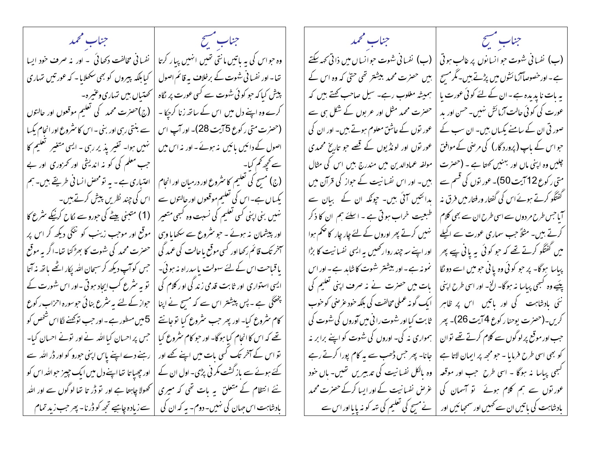جناب سيتمح المستعجب المستجند المجمد جناب مشيخ فسيستنسخ المستعمل المتحمله المتحمله وہ حواس کی ہہ پاتیں مانتی تھیں انہیں پیار کرتا | نفسانی مخالفت دکھائی ۔ اور یہ صرف حود ایسا (ب) نفسانی شہوت حبو انسانوں پر غالب ہوتی | (ب) نفسانی شہوت حبوانساں میں ذاتی <sub>ک</sub>ھہ سکتے تھا۔اور نفسا فی شہوت کے برخلاف پہ قائم اصول | کیابلکہ پیروں کو بھی سکھلایا۔ کہ عور تیں تہاری ہیں حصرت محمد بیشتر تھی حتیٰ کہ وہ اس کے ہے۔اور خصوصاً آزمائشوں میں پڑتے ہیں۔مگر مسح پیش کیا کہ حو کو ئی شہوت سے کسی عورت پر لگاہ | تحتیاں ہیں تہاری وعنیرہ۔ یہ بات نا بدیدہ ہے۔ان کے لئے کوئی عورت یا ہمیشہ مغلوب رہے۔ سیل صاحب کھتے ہیں کہ حصرت محمد مثل اور عربوں کے شکل ہی سے کرے وہ اپنے دل میں اس کے ساتھ زنا کرجکا - | (ج)حضرت محمد کی تعلیم موقعوں اور حالتوں عورت کی کوئی حالت آزمائش ہنیں۔حسن اور ید (حصرت متی ر کوع 5 آیت 28)۔ اور آپ اس | سے بنتی رہی اور بنی ۔اس کا سثروع اور انحام یکسا صور تی ان کے سامنے یکساں بیں۔ ان سب کے عور توں کے عاشق معلوم ہوتے ہیں۔ اور ان کی اصول کے دائیں پائیں پذہوئے۔اور نہ اس میں | تہیں ہوا۔ تغیر پذیر رہی ۔ایسی متغیر تعلیم کا عور توں اور لونڈیوں کے قصے جو تاریخ محمدی حبواس کے باپ (پرورد گار) کی مرحنی کے موافق سے کچھ کم کیا۔ سیاست کے اس کے معلم کی کو نہ اندیشی اور تمزوری اور بے مولفہ عمادالدین میں مندرج ہیں اس کی مثال چلیں وہ اپنی ماں اور بہنیں کھتا ہے ۔ (حصرت (ج) مسح کی تعلیم کا سٹروع اور درمیان اور انحام | اعتباری ہے - یہ تومحص انسانی طریقے ہیں۔ ہم بیں۔ اور اس نفسانیت کے حواز کی قرآن میں متی رکوع 12 آیت 50)۔ عور نوں کی قسم سے گفتگو کرتے ہوئے اس کی گفتار ورفتار میں فرق نہ یکساں ہے۔اس کی تعلیم موقعوں اور حالتوں سے | اس کی چند نظریں پیش کرتے ہیں۔ بدائنیں آئی ہیں۔ جونکہ ان کے بیان سے نہیں بنی اپنی کسی تعلیم کی نسبت وہ کبھی متعیر | (1) متبنی بیٹے کی حورو سے لکاح کریٰکے سٹرع کا طبعیت خراب ہوتی ہے ۔ اسلئے ہم ان کا ذکر ۔<br>اس جس طرح مر دوں سے اسی طرح ان سے بھی **کل**ام اور پیشمان نہ ہوئے ۔ حبو سٹروع سے سکھایا وہی | موقع اور موجب زینب کو ننگی دیکھ کر اس پر نہیں کرتے پھر اوروں کے لئے چار چار کا صحم ہوا کرتے ہیں۔ مثلاً حب سماری عورت سے اکیلے سمخر تک قائم رکھا اور کسی موقع یاحالت کی *عمد* گی | حصرت محمد کی شہوت کا بھڑکنا تھا۔اگر بہ موقع اور اپنے سہ چند روار گھیں یہ ایسی نفسانیت کا بڑا میں گفتگو کرتے تھے کہ حو کوئی بہ پانی پیے پھر باقیاحت اس کے لئے سہولت پاسدراہ نہ ہوئی۔ | جس کوآپ دیکھ کر سبحان اللہ پکار اٹھے باتھ نہ آتا نمونہ ہے۔اور بیشتر شہوت کاشابد ہے۔اور اس پباسا ہوگا۔ پر حبو کوئی وہ یا ٹی حبو میں اسے دو نگا ایسی استواری اور ثابت قدمی زند گی او رکلام کی | تو به سثرع کب ایجاد ہو تی -اور اس شهورت کے بات میں حصرت نے یہ صرف اپنی تعلیم کی پئیے وہ کسجی پیاسا نہ ہوگا۔ الخ- اور اسی طرح اپنی پختھکی ہے ۔ پس پیشتر اس سے کہ مسح نے اپنا | حواز کے لئے بہ سثرع بنائی حوسورہ احزاب رکوع ابک گو نہ عملی مخالفت کی بلکہ حود عرصی کو حوب نئی بادشاہت کی اور باتیں ِ اس پر ظاہر کام سٹروع کیا۔ اور پھر حب سٹروع کیا تو جانتے | 5میں مسطور ہے۔اور حب توکینے لگا اس شخص کو ثابت کیااور شہوت را فی میں آوروں کی شہوت کی کریں۔(حضرت یوحنار کوع 4آیت 26)۔ پھر ہمواری نہ کی۔ اوروں کی شہوت کو اپنے برابر نہ یئے کہ اس کا انحام کیا ہوگا۔ اور حبو کام سٹروع کیا | حس پر احسان کیا اللہ نے اور تونے احسان کیا۔ حب اور موقع پر لو گوں سے کلام کرتے تھے توان تو اس کے آخر تک کسی بات میں اپنے کھے اور | رہنے دے اپنے پاس اپنی حورو کو اور ڈر اللہ سے جانا- پھر جس ڈھب سے یہ کام پورا کرتے رہے کو بھی اسی طرح فرمایا - حبو مجھ پر ایمان لاتا ہے کئے ہوئے سے باز گشت مکر نی پڑی۔ اول ان کے | اور چھپا تا تھااپنے دل میں ایک چیز حواللہ اس کو وہ پالکل نفسا نیت کی تدبیریں تھیں۔ ہاں حود گہجی پباسا نہ ہوگا - اسی طرح جب اور موقعہ نئے انتظام کے متعلق ہہ بات تھی کہ میری | تھولا چاہتا ہے اور تو ڈر تا تعا لوگوں سے اور اللہ عرض نفسانیت کے اور ایسا کرکے حصرت محمد عور نوں سے ہم کلام ہوئے ۔ تو آسمان کی بادشاہت اس جہان کی نہیں۔ دوم۔ یہ کہ ان کی ∫ سے زیادہ چاہیے تجھ کو ڈرنا- پھر حب زید تمام بادشاہت کی باتیں ان سے کھیں اور سمجیائیں اور نے مسح کی تعلیم کی تہہ کو نہ پایااور اس سے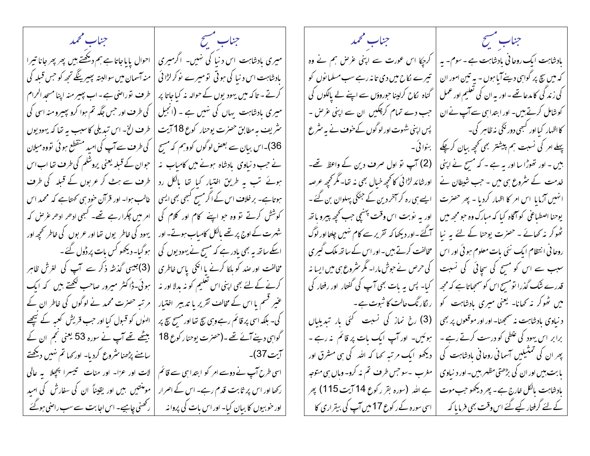جناب سنسج فللمستخلص المتحصل المحمد جناب مشيح فسيتسلخ المستعجل ومحمد میری بادشاہت اس دنیا کی تہیں۔ اگرمیری | احوال پایاجاتا ہے ہم دیکھتے ہیں پھر پھرجانا تیرا بادشاہت ایک روحا فی بادشاہت ہے۔سوم- یہ | کرجیکا اس عورت سے اپنی عرض ہم نے وہ بادشاہت اس د نیا کی ہوتی قومیرے نوکر لڑا ئی | منہ آسمان میں سوالبتہ پھیرینگے تجھ کو جس قبلہ کی تیرے لکاح میں دی تا نہ رہے سب مسلمانوں کو کہ میں سچ پر گواہی دینے آیا ہوں - بہ تین امور ان کرتے - تاکہ میں یہودیوں کے حوالہ یہ کیاجاتا پر |طرف نوراضی ہے۔اب پھیر منہ اپنا مسحد الحرام کی زند گی کامدعا تھے۔ اور یہ ان کی تعلیم اور عمل گناہ لکاح کرلینا حورووں سے اپنے لے بالکوں کی میری یادشاہت یہاں کی نہیں ہے ۔ (انجیل | کی طرف اور جس جگہ تم ہوا کرو پھیرومنہ اسی کی جب دے تمام کرچکیں ان سے اپنی عرص ۔ کوشامل کرتے ہیں۔ اور ابتدا ہی سے آپ نے ان ۔ سثری<sup>ت</sup> یہ مطابق حصرت یوحنار کوع 18 آیت | طرف الخ- اس تبدیلی کاسبب بہ تعا کہ یہودیوں کا اظہار کیا اور کسجی دور نگی نہ ظاہر کی۔ پس اپنی شہوت اور لو گوں کے خوف نے یہ سٹر ع 36)۔اس بیان سے بعض لوگوں کووہم کہ مسح | کی طرف سے آپ کی امید منقطع ہو ئی تووہ میلان پہلے امر کی نسبت ہم پیشتر بھی تحچہ بیان کرچکے | بنوائی۔ (2) آپ تو اول صرف دین کے واعظ تھے۔ نے جب د نیاوی پادشاہ ہونے میں کامیاب پنہ | حبوان کے قبلہ یعنی پروشلم کی طرف تھا اب اس ہیں ۔ اور تھوڑا سا اور یہ ہے ۔ کہ مسح نے اپنی ہوئے تب یہ طریق اختیار کیا تھا پالکل رد |طرف سے ہٹ کر عربوں کے قبلہ کی طرف اورشائد لڑائی کانحپھ خیال بھی نہ تھا۔مگر تحچھ عرصہ خدمت کے سٹروع ہی میں ۔ حب شیطان نے ہوتاہے۔ برخلاف اس کے اگر مسح کبھی بھی ایسی | غالب ہوا۔ اور قرآن حود سی کھتاہے کہ محمد اس ایسے ہی رہ کر آخر دین کے جنگی پہلوان بن گئے ۔ انهبیں آزمایا اس امر کا اظہار کردیا - پھر حصرت کوشش کرتے تو وہ جو اپنے کام اور کلام کی | امر میں چکرارہے تھے۔ کبھی ادھر ادھر عرص کہ اور یہ نوبت اس وقت پہنیچی جب تحیحہ پیرو باتھ یوحنا اصطباعی کوآگاه کیا که مبارک وه حبو مجھ میں شہرت کے اوج پر تھے بالکل کامیاب ہوتے۔ اور | یہود کی خاطر یوں تھا اور عربوں کی خاطر تحچھ اور | آگئے -اور دیکھا کہ تقریر سے کام نہیں چلتا اور لوگ کھوکر مہ کھائے ۔ حصرت یوحنا کے لئے یہ نیا اسکے ساتھ ہہ بھی مادر ہے کہ مسح نے یہودیوں کی | ہوگیا۔ دیکھو کس بات پر ڈول گئے۔ مخالفت کرتے ہیں۔ اور اس کے ساتھ ملک گیری روحا فی انتظام ایک نئی بات معلوم ہو ئی اور اس مخالفت اور صد کو بلکا کرنے یا انکی پاس خاطری | (3)جیسی گذشہ ذکر سے آپ کی لغرش ظاہر سبب سے اس کو مسح کی سچائی کی نسبت کی حرص نے حبوش مارا۔ مگر سثروع ہی میں ایسا نہ کیا- پس یہ مات بھی آپ کی گفتار اور رفتار کی کرنے کے لئے بھی اپنی اس تعلیم کو نہ بدلا اور نہ | ہوئی۔ڈاکٹر میرور صاحب ککھتے بیں کہ ایک قدرے شک گذرا نومسح اس کو سمجیاتاہے کہ مجھ عنیر قسم یا اس کے مخالف تقریر یا تدبیر ِ افتیار | مرتبہ حصرت محمد نے لوگوں کی خاطر ان کے میں ٹھوکر نہ تھانا۔ یعنی میری بادشاہت کو | | رنگارنگ حالت کا شوت ہے ۔ کی۔ بلکہ اسی پر قائم رہے وہی سچ تھااور مسح سچ پر | الهٰوں کو قسول کیا اور حب قریش کعبہ کے سیچھے (3) رخ نماز کی نسبت گئی بار تبدیلیاں د نیاوی بادشاہت نہ سمجینا- اور اور موقعوں پر بھی برابر اس یہود کی علطی کو درست کرتے رہے ۔ | گواہی دینے آئے تھے۔(حصرت یوحنار کوع 18 | بیٹھے تھے آپ نے سورہ 53 یعنی نجم ان کے | ہوئیں۔ اور آپ ایک مات پر قائم نہ رہے ۔ دیکھو ایک مرتبہ کھا کہ اللہ کی ہی مشرق اور پھر ان کی تمتیلیں آسمانی روحانی بادشاہت کی | مغرب ۔سوجس طرف تم نہ کرو- وہاں ہی متوجہ اسی طرح آپ نے دوسے امر کو ابتدا ہی سے قائم | لات اور عزا۔ اور منات سیسرا پچلا ہہ عالی یا بت، پیں اور ان کی بڑھتی مظہر بیں۔ اور د نیاوی | رکھا اور اس پر ثابت قدم رہے۔ اس کے اصرار | مومنتیں ہیں اور یقیناً ان کی سفارش کی امید ہے اللہ (سورہ بقر رکوع 14 آیت 115) پھر بادشاہت بالکل <sub>فلار</sub>ج ہے۔ پھر دیکھو جب *م*وت اور حو بیوں کا بیان کیا۔ اور اس بات کی پروانہ } رکھنی چاہیے۔ اس اجابت سے سب راصی ہوگئے کے لئے گرفتار کیے گئے اس وقت بھی فرمایا کہ } اسی سورہ کے رکوع 17 میں آپ کی بیقراری کا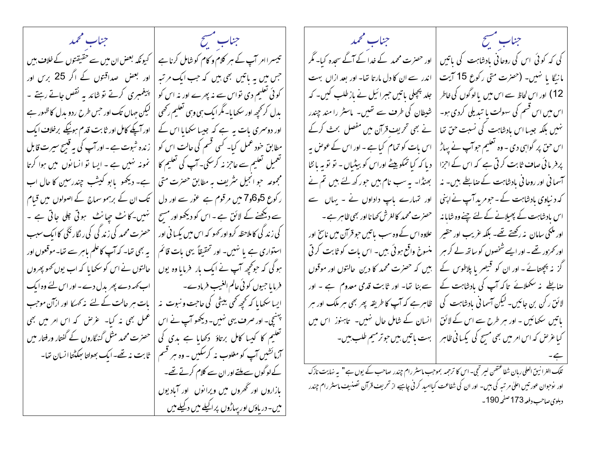جناب مشيح فسيتمسخ المستعجب والمستحصد تیسراامر آپ کے ہیر کلام و کام کو شامل کرنا ہے | کیونکہ بعض ان میں سے حقیقتوں کے خلاف بیں جس میں یہ ماتیں بھی ہیں کہ جب ایک مرتبہ | اور بعض | صداقتوں کے اگر 25 برس اور کوئی تعلیم دی تواس سے نہ پھرے اور نہ اس کو | پیغمبری کرتے تو شائد یہ نقص جاتے رہتے ۔ بدل کر تحیجہ اور سکھا ما۔ مگر ایک ہی وہی تعلیم رکھی | لیکن جہاں تک اور حس طرح ردو بدل کا ظہور ہے اور دوسمری بات ہہ ہے کہ جیسا سکھایا اس کے | اور آپکے کامل اور ثابت قدم ہونیکے برخلاف ایک مطابق حود عمل کیا۔ کسی قسم کی حالت اس کو | رندہ شبوت ہے ۔اورآپ کی بہ قبیح سیرت قابل تعمیل تعلیم سے عاجز نہ کرسکی۔ آپ کی تعلیم کا | نمونہ نہیں ہے ۔ ایسا تو انسانوں میں ہوا کرتا مجموعہ حو انجیل سثریف بہ مطابق حصرت متی | ہے۔ دیکھو یابو کیشب چندرسین کا حال اب ر کوع 5و6و7 میں مرقوم ہے عور سے اور دل | تک ان کے برہمو سماج کے اصولوں میں قیام سے دیکھنے کے لائق ہے۔اس کو دیکھواور مسح | نہیں۔کانٹ حیانٹ ہوتی علی جاتی ہے ۔ کی زندگی کاملاحظہ کرواور کھو کہ اس میں پکسا فی اور | حصرت محمد کی زندگی کی رنگار نگی کاایک سبب استواری ہے یا نہیں۔ اور تحقیقاً یہی بات قائم | بہ بھی تھا۔ کہ آپ کاعلم باہر سے تھا۔موقعوں اور ہوگی کہ حوکچھ آپ نے ایک بار فرمایا وہ یوں | حالتوں نے اس کو سکھایا کہ اب یوں کھو پھروں | ایسا سکھایا کہ تحچیہ تحمی ببیٹی کی حاجت و نبوت پنہ | پات ہر حالت کے لئے پنہ تحریکا اور ازآن موجب پہنیچ۔ اور صرف یہی نہیں۔ دیکھو آپ نے اس عمل بھی نہ کیا۔ غرض کہ اس امر میں بھی تعلیم کا کیبا کامل برتاؤ ۖ دکھایا ہے بدی کی | حصرت محمد مثل گنہگاروں کے گفتار ورفتار میں آزمائشیں آپ کو مغلوب نہ کرسکیں ۔ وہ سٖر قسم | ثابت نہ تھے۔ایک بھولتا ہیکٹتاانسان تھا۔ کے لوگوں سے ملتے اور ان سے کلام کرتے تھے۔ بازاروں اور ٹھروں میں ویرانوں اور آبادیوں میں۔ دریاؤں اور پہاڑوں پراکیلے میں دکیلے میں

جناب مسيح جناب محمد اور حصرت محمد کے خدا کے آگے سحدہ کیا۔ مگر کی کہ کوئی اس کی روحانی بادشاہت کی باتیں مانیگا یا تہیں۔ (حصرت متی رکوع 15 آیت اندر سے ان کا دل مارتا تھا۔ اور بعد ازاں بہت جلد پچپلی پاتیں جبرائیل نے بازطلب کیں۔ کہ 12) اور اس لحاظ سے اس میں یالوگوں کی خاطر شیطان کی طرف سے تھیں۔ ماسٹر را مند چندر اس میں اس قسم کی سہولت یا تبدیلی کردی ہو۔ نے بھی تحریف قرآن میں مفصل بحث کرکے نہیں بلکہ جیسا اس بادشاہت کی نسبت حق تھا اس بات کو تمام کیا ہے ۔ اور اس کے عوص بہ اس حق پر گواہی دی ۔ وہ تعلیم حوآپ نے پہاڑ پر فریا ئی صاف ثابت کرتی ہے کہ اس کے اجزا دیا کہ کیا تمکو پیٹے اوراس کو بیٹیاں - تو تو بہ پانٹا آسمانی اور روحانی مادشاہت کے صابطے ہیں۔ نہ بھنڈا۔ یہ سب نام ہیں حور کھ لئے ہیں تم نے اور تہارے باپ داداوں نے - بہاں سے کہ د نیاوی بادشاہت کے ۔حومر بد آپ نے اپنی اس بادشاہت کے پھیلانے کے لئے چنےوہ شایا نہ حصرت محمد کالغرش کھانا اور بھی ظاہر ہے ۔ علاوہ اس کے وہ سب پاتیں حبو قرآن میں ناسخ اور اور مکئی سامان پنہ رکھتے تھے۔ بلکہ عریب اور حقیر منسوخ واقع ہوئی بیں۔ اس بات کو ثابت کرتی اور کمزور تھے - اور ایسے شخصوں کو ساتھ لے کر مبر ہیں کہ حصرت محمد کا دین حالتوں اور موقوں گز نہ بیچینائے۔ اور ان کو قبیصر یا پلاطوس کے سے بنا تھا۔ اور ثابت قدمی معدوم ہے ۔ اور صابطے پ*نہ سکھلانے* تاکہ آپ کی بادشاہت کے | ظاہر ہے کہ آپ کا طریقہ پھر بھی ہر ملک اور ہر لائق رکن بن جائیں۔ لیکن آسمانی بادشاہت کی انسان کے شامل حال نہیں۔ تاہنوز اس میں پاتیں سکھائیں - اور سرطرح سے اس کے لائق کیا غرض کہ اس امر میں بھی مسح کی پکسانی ظاہر | | بہت باتیں ہیں حوتر میم طلب ہیں۔

.<br>تلک الغرانین العلی ربان شفا عتص لیر تمحی- اس کا ترحمه بموجب ماسٹر رام چندر صاحب کے یوں ہے " بہ نہایت نازک اور نوحوان عورتیں اعلیٰ مر تبہ کی ہیں۔ اور ان کی شفاعت کیاامید کرنی چاہیے از تحریف قرآن تصنیف ماسٹر رام چندر دېلوي صاحب دفعه 173 صفحه 190 -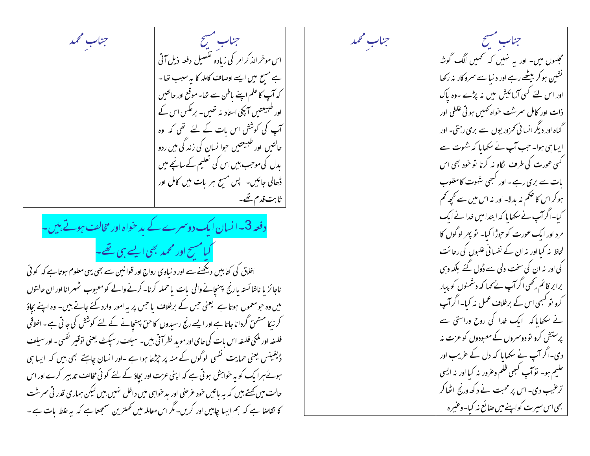جناب مسح جناب محمد اس موخر الذکر امر کی زیادہ تفصیل دفعہ ذیل آتی ہے مسح میں ایسے اوصاف کاملہ کا بہ سبب تھا۔ کہ آپ کا علم اپنے باطن سے تعا۔ موقع اور حالتیں اور طبیعتیں آ پکی استادینہ تھیں۔ برعکس اس کے آپ کی کوشش اس بات کے لئے تھی کہ وہ حالتیں اور طبیعتیں حوا نسان کی زند گی میں ردو یدل کی موجب بیں اس کی تعلیم کے سانچے میں ڈھالی جائیں۔ پس مسبح ہر بات میں کامل اور ثابت قدم تھے۔

دفعہ 3۔ ا نسان ایک دوسمرے کے بد خواہ اور مخالف ہوتے ہیں۔ کیامسح اور محمد بھی ایسے ہی تھے۔

اخلاق کی کتابیں دیکھنے سے اور د نیاوی رواج اور قوانین سے بھی یہی معلوم ہوتا ہے کہ کوئی ناجائز یا ناشائستہ یارنج پہنچانے والی بات یاحملہ کرنا۔کرنے والے کومعیوب ٹھہرانا اور ان حالتوں میں وہ حبومعمول ہوتا ہے گیعنی حس کے برخلاف یا حس پر یہ امور وارد کئے جاتے ہیں۔ وہ اپنے بجاؤ کر نیکا مستحق گرداناجاتا ہے اور ایسے رنج رسیدوں کاحق پہنچانے کے لئے کوشش کی جاتی ہے۔اخلاقی فلسفہ اور ملکی فلسفہ اس بات کی حامی اور موبد نظر آتی ہیں۔ سیلف رسپکٹ یعنی توقیر نفسی۔اور سیلف ڈیفینس یعنی حمایت گفسی لوگوں کے منہ پر جڑھا ہوا ہے ۔اور انسان چاہتے بھی بیں کہ ایسا ہی ہوئے ہرا بک کو بہ حواہش ہو تی ہے کہ اپنی عزت اور بچاؤ کے لئے کو ٹی مخالف تدبیر کرے اور اس حالت میں کھتے ہیں کہ یہ پاتیں خود عرصی اور بدخواہی میں داخل نہیں ہیں لیکن سماری قدر تی سرشت کا تقاضا ہے کہ ہم ایسا چاہیں اور کریں۔مگر اس معاملہ میں تحمترین سمجھتا ہے کہ یہ غلط بات ہے ۔

جناب سنسح مجلسوں میں۔ اور بہ تہیں کہ تھمیں الگ گونٹہ نشین ہوکر بیٹھے رہے اور د نیا سے سمرو کار نہ رکھا اور اس لئے کسی آزمائیش میں نہ پڑے ۔وہ پاک ذات اور کامل سمرشت حواہ ٹھہیں ہو تی علطی اور گناہ اور دیگر انسا ٹی تھرور یوں سے بری رہتی۔ اور ایساسی ہوا۔ جب آپ نے سکھایا کہ شہوت سے ۔<br>کسی عورت کی طر**ف** لگاہ نہ کرنا تو خود بھی اس بات سے بری رہے ۔ اور کبھی شہوت کامغلوب ہو کر اس کا حکم نہ بدلا۔ اور نہ اس میں سے تحییہ تھم کیا۔اگرآپ نے سکھایا کہ ابتدامیں خدا نے ایک مرد اور ایک عورت کو حوڑا کیا۔ تو بیر لوگوں کا لحاظ نہ کیا اور نہ ان کے نفسانی علیوں کی رعائت کی اور نہ ان کی سخت دلی سے ڈول گئے بلکہ وہی برا بر قائم رکھی اگر آپ نے کہا کہ دشمنوں کو پیار کرو نو کسمی اس کے برخلاف عمل نہ کیا۔ اگر آپ نے سکھایا کہ ایک غدا کی روح وراستی سے پرستش کرو تو دوسروں کے معبودوں کوعزت نہ دی۔اگر آپ نے سکھایا کہ دل کے عریب اور حلیم ہو۔ توآپ کبھی ظلم وعرور نہ کیا اور نہ ایسی ترغیب دی۔ اس پر محبت نے د کھ ورنج اٹھاکر بھی اس سپرت کواپنے میں صائع نہ کیا۔وعنیرہ

جناب محمد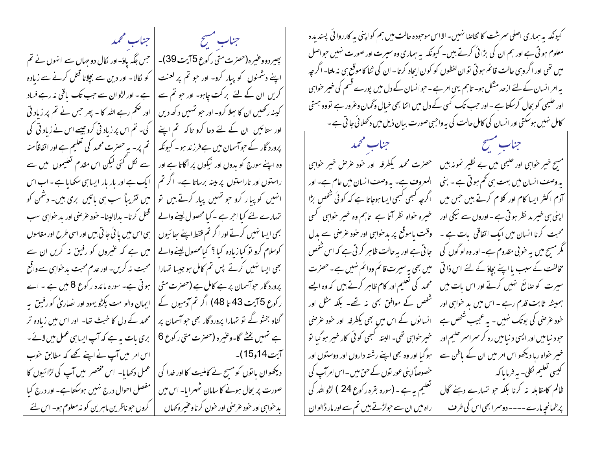جناب سنسح المتحجلة المتحمد پہیر دووعنیرہ(حصرت متی رکوع 5آیت 39)۔ | حس جگہ یاؤ-اور لکال دو حہاں سے انہوں نے تم اپنے دشمنوں کو پیار کرو- اور حو تم پر لعنت | کو کالا - اور دین سے بچلانا قتل کرنے سے زیادہ کریں ان کے لئے برکت چاہو۔ اور حبو تم سے | ہے۔اور لڑوان سے حب تک باقی نہ رہے فساد کینہ رکھیں ان کا سِلا کرو۔ اور حبو شہیں د کھہ دیں | اور حکم رہے اللہ کا - پھر حس نے تم پر زیاد تی اور ستائیں ان کے لئے دعا کرو تاکہ تم اپنے | کی۔ تم اس پر زیاد تی کروچیسے اس نے زیاد تی کی پرورد گار کے حبوآسمان میں ہےفرزند ہو۔ کیونکہ | تم پر- یہ حصرت محمد کی تعلیم ہے اور اتفاقاً منہ وہ اپنے سورج کو بدوں اور نیکوں پر اگاتا ہے اور | سے لکل گئی لیکن اس مقدم تعلیموں میں سے راستوں اور ناراستوں پر مینہ برساتا ہے۔ اگر تم | ایک ہے اور بار بار ایسا ہی سکھایا ہے - اب اس انہیں کو پیار کرو جو تہیں پیار کرتے ہیں تو | میں تقریباً سب ہی باتیں بری ہیں۔ دشمن کو تہمارے لئے کیا احر ہے ۔کیا محصول لینے والے | قتل کرنا- بدلالینا- خود عرِّضی اور بد حواہی سب بھی ایسا نہیں کرتے اور اگر تم فقط اپنے سائیوں | ہی اس میں یا ئی جا تی بیں اور اسی طرح اور مقاموں | کوسلام کرو تو کیا زیادہ کیا ؟ کیامحصول لینے والے | میں ہے کہ عنیروں کو رفیق نہ کریں ان سے بھی ایسا نہیں کرتے پس تم کامل ہو جیسا تہارا | محبت نہ کریں- اور عدم محبت بد خواہی سےواقع پرورد گار حواسمان پر ہے کامل ہے (حصرت متی | ہوتی ہے۔ سورہ مائدہ رکوع 8 میں ہے ۔ اے | ایمان والو مت بگڑو یہود اور نصاریٰ کو رفیق بہ ر کوع 5 آیت 43 تا 48) اگر تم آدمیوں کے گناہ بخشو گے تو تہارا پرورد گار بھی حو آسمان پر | | محمد کے دل کا خبث تھا- اور اس میں زیادہ تر ہے تہیں پختے گا۔وعنیرہ (حصرت متی رکوع 6 | بری بات بہ ہے کہ آپ ایسا ہی عمل میں لائے ۔ | آیت14و15)۔ | اس امر میں آپ نے اپنے کھے کہ مطابق خوب کے عمل دکھایا۔ اس مختصر ہیں آپ کی لڑا ئیوں کا دیکھوان یا نوں کو مسح نے کاملیت کا اور خدا کی مفصل احوال درج نهبیں ہوسکتا ہے۔ اور درج کیا صورت پر بحال ہونے کا سامان ٹھہرایا۔ اس میں بدحوابى اور حود عرصى اور حون كرناوعنيره كهال کروں حبو ناظرین ماہرین کو نہ معلوم ہو۔ اس لئے

کیونکہ بیہ ہماری اصلی سمرشت کا تقاضا نہیں۔الااس موحودہ حالت میں ہم کواپنی بہ کارروائی پسندیدہ معلوم ہو تی ہے اور ہم ان کی بڑا ئی کرتے ہیں۔ کیونکہ یہ ہماری وہ سیرت اور صورت نہیں حواصل میں تھی اور اگروہی حالت قائم ہو تی توان لفظوں کو کون ایجاد کرتا - ان کی ثنا کاموقع ہی نہ ملتا- اگر چہ بہ امر انسان کے لئے ازحد مشکل ہو۔ تاہم یہی امر ہے ۔حوانسان کے دل میں پورے قسم کی خیبر حواہی اور حلیمی کو بجال کرسکتا ہے ۔ اور حب تک کسی کے دل میں اتنا بھی خیال وگھان وعرور ہے تووہ ہستی کامل نہیں ہوسکتی اور انسان کی کامل حالت کی بہ واجبی صورت بسان ذیل میں دکھلائی جا تی ہے ۔

جناب مشيح فللمستعمل المستحملة المتحمله حصرت محمد یکطرفه اور خود عرص خبیر حوابپی مسح خیر حواہی اور خلیمی میں بے نظیر نمونہ بیں یہ وصف انسان میں بہت ہی تھم ہوتی ہے ۔ بنی المعروف ہے۔ یہ وصف انسان میں عام ہے۔ اور اگرچہ کبھی کبھی ایسا ہوجاتا ہے کہ کوئی شخص بڑا آدم اکثر ایسا کام اور کلام کرتے ہیں جس میں خیرہ خواہ نظر آتا ہے تاہم وہ خیر حواہی کسی اپنی ہی خیبر مد نظر ہو تی ہے ۔ اوروں سے نیکی اور محبت کرنا انسان میں ایک اتفاقی یات ہے ۔ وقت یاموقع پر بدخواہی اور خود عرصی سے بدل جا تی ہے اور یہ حالت ظاہر کرتی ہے کہ اس شخص گُر مسح میں بہ خوبی مقدوم ہے۔ اور وہ لوگوں کی مخالفت کے سبب مااپنے بچاؤ کے لئے اس ذا تی میں بھی بہ سیرت قائم ودائم نہیں ہے۔حصرت محمد کی تعلیم اور کام ظاہر کرتے ہیں کہ وہ ایسے سیرت کو صائع ٹہیں کرتے اور اس بات میں شخص کے موافق بھی نہ تھے۔ بلکہ مثل اور ہمیشہ ثابت قدم رہے - اس میں ید خواہی اور انسانوں کے اس میں بھی یکطرفہ اور خود عرصی خود عرصٰی کی بوتک نہیں ۔ یہ عمجیب شخص ہے خبیر خواہی تھی۔ البتہ گبھی کوئی کار خبیر ہوگیا تو حبود نیامیں اور ایسی د نیامیں رہ کر سمراسر حلیم اور خبیر حواہ ربا دیکھو اس امر میں ان کے باطن سے ہو گیا اور وہ بھی اپنے رشتہ داروں اور دوستوں اور خصوصاً اپنی عور نوں کے حن میں - اس امر آپ کی کیسی تعلیم لکلی- بیہ فرمایا کہ ظالم کامقابلہ نہ کرنا بلکہ حو تہارے دہنے گال تعلیم بہ ہے۔ (سورہ بقرہ رکوع 24 ) لڑوالٹد کی راہ میں ان سے حولڑتے ہیں تم سے اور مار ڈالوان پرطمانحہ مارے۔۔۔۔ دوسمرا بھی اس کی طرف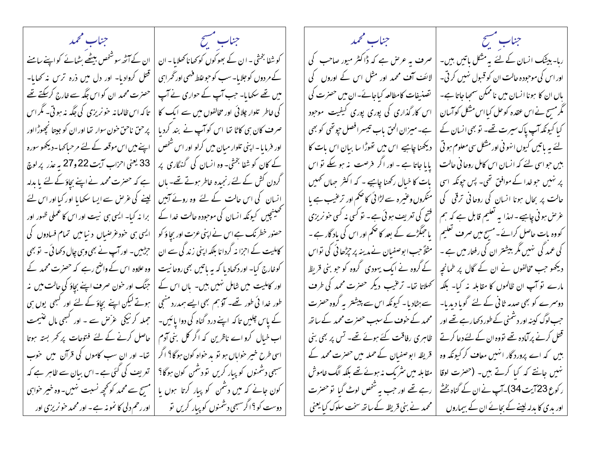جناب مشيح فسيتسلخ المستعمل المتحلب محمد جناب مشح فسيستنسخ المستعملين المحمد کو شفا بخشی - ان کے بھوکوں کو کھانا کھلایا - ان | ان کے آٹھ سوشنھس بیٹھے بٹھائے کواپنے سامنے | صرف بہ عرض ہے کہ ڈاکٹر میور صاحب کی ربا- بیٹک انسان کے لئے بہ مشکل باتیں ہیں۔ کے مردوں کو جلایا۔ سب کو حبو غلط فہمی اور گھراسی | قتل کروادیا۔ اور دل میں ذرہ ترس نہ کھایا۔ اور اس کی موجودہ حالت ان کو قبول نہیں کر تی۔ لائف آف محمد اور مثل اس کے اوروں کی میں تھے سکھایا۔ جب آپ کے حواری نے آپ | حصرت محمد ان کو اس جگہ سے خارج کرسکتے تھے یاں ان کا ہونا انسان میں ناممکن سمحیا جاتا ہے۔ تضنیفات کامطالعہ کیاجائے-ان میں حصرت کی کی خاطر تلوار چلائی اور مخالفوں میں سے ایک کا | تاکہ اس ظالمانہ حو نریزی کی جگہ نہ ہوتی۔ مگر اس اس کار گذاری کی پوری پوری کیفیت موجود گرمسح نے اس عقدہ کوحل کیا اس مشکل کوآسان صرف کان ہی کاٹا تھا اس کو آپ نے بند کردیا | پر حق ناحق خون سوار تھا اور ان کو جیتا نچھوڑااور ہے۔میزان الحق باب تبیسرافصل حپوتھی کو بھی کیا کیونکہ آپ پاک سپرت تھے۔ تو بھی انسان کے اور فرمایا۔اپنی تلوار میان میں کرلو اور اس شخص | اپنے میں اس موقعہ کے لئے مرحیاکہا۔دیکھو سورہ دیکھنا چاہیے اس میں تھوڑا سا بیان اس بات کا یئے یہ باتیں کیوں انہونی اور مشکل سی معلوم ہو تی کے کان کو شفا بخش۔ وہ انسان کی گنہگاری پر | 33 یعنی احزاب آیت 22 و27 بہ عذر پر لوچ پایا جاتا ہے ۔ اور اگر فرصت نہ ہو سکے تو اس بیں حواسی لئے کہ انسان اس کامل روحا فی حالت گردن کش کے لئے رنجیدہ خاطر ہوتے تھے۔ پاں | ہے کہ حصرت محمد نے اپنے بجاؤکے لئے یا مدلہ بات کا خیال رکھنا چاہیے - کہ اکثر جہاں کھیں پر نہیں حوضدا کے موافق تھی۔ پس حپونکہ اسی انسان کی اس حالت کے لئے یوہ روئے آہیں | لینے کی غرص سے ایسا سکھایا اور کیا اور اس لئے حالت پر بجال ہونا انسان کی روحانی ترقی کی منکروں وعنیرہ سے لڑائی کا حکم اور ترعیب ہے یا مصینچیں کیونکہ انسان کی موجودہ حالت خدا کے | برا نہ کیا- ایسی ہی نیت اور اس کا عملی ظہور اور فتح کی تعریف ہوئی ہے۔ تو کسی نہ کسی حو نریزی عرص ہونی چاہیے۔ لہذا یہ تعلیم قابل ہے کہ ہم حصنور خطر نک ہے اس نے اپنی عزت اور بچاؤ کو | ایسی ہی حنود عزمنساں د نیا میں تمام فسادوں کی یا حبکڑے کے بعد کا حکم اور اس کی باد گار ہے ۔ کووہ بات حاصل کرائے۔مسح میں صرف تعلیم کی عمد گی نہیں مگر بیشتر ان کی رفتار میں ہے ۔ کاملیت کے احزا نہ گردانا بلکہ اپنی زند گی سے ان | حرطبیں۔ اور آپ نے بھی وہی جال دکھا ئی ۔ تو بھی مثلاً حب ابوصفيان نےمدینہ پر حپڑھا ئی کی تواس کوخارج کیا۔ اور دکھادیا کہ بہ پاتیں بھی روحانیت | وہ علاوہ اس کے واضح رہے کہ حصرت محمد کے کے گروہ نے ایک یہودی گروہ کو حبو بنی قریظ دیکھو جب مخالفوں نے ان کے گال پر طمانچہ اور کاملیت میں شامل نہیں ہیں۔ باں اس کے | جنگ اور خون صرف اپنے بچاؤ کی حالت میں نہ کھلاتا تھا۔ ترعیب دیگر حصرت محمد کی طرف مارے تو آپ ان ظالموں کا مقابلہ نہ کیا۔ بلکہ طور خدا ئی طور تھے۔ آؤہم بھی ایسے ہمدرد منھی | ہوتے لیکن اپنے بچاؤ کے لئے اور کبھی یوں ہی سے ہٹادیا۔ کیونکہ اس سے پیشتر بہ گروہ حصرت دوسرے کو بھی صدمہ ثانی کے لئے گویا دیدیا۔ کے پاس چلیں تاکہ اپنے درد گناہ کی دوا پائیں۔ | حملہ کرنیکی عرَّض سے ۔ اور کبھی مال عنیمت محمد کے حوف کے سبب حصرت محمد کے ساتھ جب لوگ کینہ اور دشمنی کے طور دکھارہے تھے اور اب خیال کرو اے ناظرین کہ اگر کل بنی آدم | حاصل کرنے کے لئے فتوحات پر کھر بستہ ہوتا ظاہری رفاقت کئے ہوئے تھے۔ تس پر بھی بنی تقتل کرنے پر آمادہ تھے تووہ ان کے لئے دعا کرتے اسی طرح خبیر خواباں ہو تو ید خواہ کون ہوگا؟ اگر | تھا۔ اور ان سب کاموں کی قرآن میں حوب قریظہ ابوصفیان کے حملہ میں حصرت محمد کے بیں کہ اے پرورد گار انہیں معاف کر کیونکہ وہ سبھی دشمنوں کو پیار کریں تو دشمن کون ہوگا؟ | تعریف کی گئی ہے - اس بیان سے ظاہر ہے کہ مقابلہ میں سٹریک نہ ہوئے تھے بلکہ الگ خاموش نہیں جانتے کہ کیا کرتے ہیں۔ (حصرت لوقا کون جانے کہ میں دشمن کو پبار کرتا ہوں یا |مسیح سے محمد کو محچھ نسبت نہیں۔وہ خیبر خواہی رہے تھے اور حب یہ شخص لوٹ گیا تو حصرت ر کوع 23 آیت 34)۔آپ نے ان کے گناہ بخشے دوست کو ؟ اگرسبھی دشمنوں کو پیار کریں تو | اور رحم دلی کا نمونہ ہے - اور محمد حو نریزی اور گے محمد نے بنی قریظہ کے ساتھ سخت سلوک کیا یعنی اور بدی کا بدلہ لینے کے بجائے ان کے بیماروں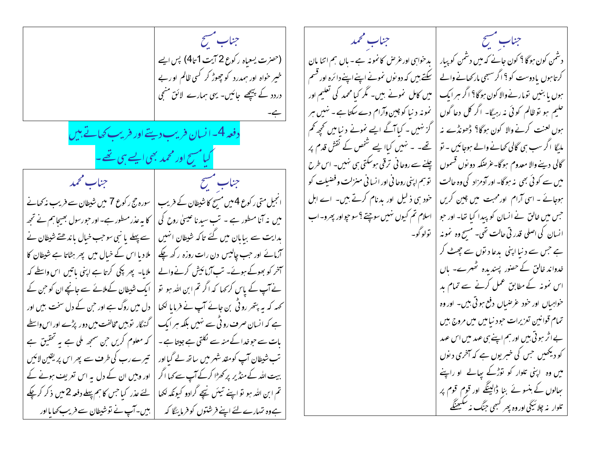4. 
$$
-\frac{1}{2}
$$
  
\n-5.  $-\frac{1}{2}$   
\n-6.  $-\frac{1}{2}$   
\n-7.  $-\frac{1}{2}$   
\n-8.  $-\frac{1}{2}$   
\n-9.  $-\frac{1}{2}$   
\n-10.  $-\frac{1}{2}$   
\n-11.  $-\frac{1}{2}$   
\n-10.  $-\frac{1}{2}$   
\n-11.  $-\frac{1}{2}$   
\n-12.  $-\frac{1}{2}$   
\n-13.  $-\frac{1}{2}$   
\n-14.  $-\frac{1}{2}$   
\n-15.  $-\frac{1}{2}$   
\n-16.  $-\frac{1}{2}$   
\n-17.  $-\frac{1}{2}$   
\n-18.  $-\frac{1}{2}$   
\n-19.  $-\frac{1}{2}$   
\n-10.  $-\frac{1}{2}$   
\n-10.  $-\frac{1}{2}$   
\n-11.  $-\frac{1}{2}$   
\n-10.  $-\frac{1}{2}$   
\n-11.  $-\frac{1}{2}$   
\n-12.  $-\frac{1}{2}$   
\n-13.  $-\frac{1}{2}$   
\n-14.  $-\frac{1}{2}$   
\n-15.  $-\frac{1}{2}$   
\n-16.  $-\frac{1}{2}$   
\n-17.  $-\frac{1}{2}$   
\n-18.  $-\frac{1}{2}$   
\n-19.  $-\frac{1}{2}$   
\n-10.  $-\frac{1}{2}$   
\n-11.  $-\frac{1}{2}$   
\n-10.  $-\frac{1}{2}$   
\n-11.  $-\frac{1}{2}$   
\n-12.  $-\frac{1}{2}$   
\n-13.  $-\frac{1}{2}$   
\n-14.  $-\frac{1}{2}$   
\n-15.  $-\frac{1}{2}$   
\n-19.  $-\frac{1}{2}$   
\n-10.  $-\$ 

جناب مسح جناب محمد دشمن کون ہوگا ؟ کون جانے کہ میں دشمن کو پبار | بدخواہی اور عرص کانمونہ ہے۔ ہاں ہم اتنا مان کرتا ہوں مادوست کو ؟ اگر سبھی مارکھانے والے | سکتے ہیں کہ دو نوں نمونے اپنےاپنے دائرہ اور قسم ہوں یا بنیں تومارنےوالا کون ہوگا؟ اگر ہر ایک | میں کامل نمونے ہیں۔ گمر کیا محمد کی تعلیم اور حلیم ہو تو ظالم کوئی نہ رہیگا۔ اگر کل دعا گوں نمونہ د نیا کوچین وآرام دے سکتا ہے ۔ نہیں ہر ہوں لعنت کرنے والا کون ہوگا؟ ڈھونڈے نہ | گز نہیں ۔ کیاآگے ایسے نمونے د نیا میں تحجیہ کم ملیگا اگر سب سی گالی کھانے والے ہوجائیں ۔ نو | تھے۔ ۔ نہیں کیاا یہے شخص کے نقش قدم پر گالی دینے والا معدوم ہوگا۔غرضکہ دونوں قسموں | چلنے سے روحا نی ترقی ہوسکتی ہی نہیں۔ اس طرح توسم اپنی روحا فی اور انسا فی منزلت و فضیلت کو میں سے کوئی بھی یہ ہوگا۔ اور آدمزاد کی وہ حالت | حود ہی ذکیل اور بدنام کرتے ہیں۔ اے اہل ہوجائے ۔ اسی آرام اور محبت میں چین کریں اسلام تم کیوں نہیں سوچتے ؟ سو حپواور بھرو۔اب جس میں خالق نے انسان کو پیدا کیا تھا۔ اور حبو انسان کی اصلی قدر تی حالت تھی۔ مسح وہ نمونہ | تولوگو۔ ہے جس سے د نیا اپنی پدعا دیتوں سے چھٹ کر خدواند خالق کے حصور پسندیدہ ٹھہرے۔ باں اس نمونہ کے مطابق عمل کرنے سے تمام ید خواہیاں اور خود عرصیاں دفع ہوتی ہیں۔ اور وہ تمام قوانین تعزیرات حود نبامیں میں مروج بیں بے اثر ہو تی ہیں اور ہم اپنے ہی عہد میں اس عہد کو دیکھیں جس کی خبریوں ہے کہ آخری دیوں میں وہ اپنی تلوار کو توڑکے ہیالے او راپنے سِمالوں کے ہنسو ئے بنا ڈالینگے اور قوم قوم پر تلوار په چلائيچي اور وه پھر کبھی جنگ په سکیھنگے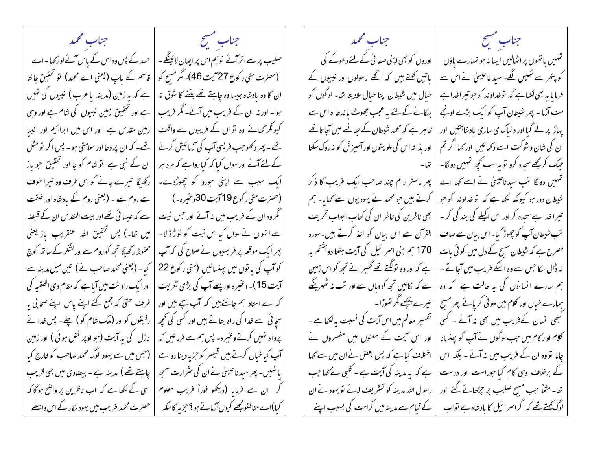جناب سنسح فللمستعلم المستعجز المستعجز والمستنبع المستنبر والمستنبر والمستعجز والمستعملة المستحصلة صلیب پر سے اترآئے توہم اس پر ایمانِ لائینگے۔ | حسد کے پس وہ اس کے پاس آئے اور کہا۔اے (حصرت متی رکوع 27 بیت 46)۔ مگر مسح کو | قاسم کے پاپ (یعنی اے محمد) تو تحقیق جا خا ان کا وہ بادشاہ جیسا وہ چاہتے تھے بغنے کا شوق نہ | ہے کہ ہہ زمین (مدینہ پاعرب) نبیوں کی نہیں | ہے اور تحقیق زمین نبیوں کی شام ہے اور وہی ہوا۔ اور نہ ان کے فریب میں آئے۔ مگر فریب کیونکر کھاتے وہ تو ان کے فریبوں سے واقف | زمین مقدس ہے ۔اور اس میں ابراہیم اور انبیا | تھے۔ کہ ان پر دعا اور سلامتی ہو۔ پس اگر تومثل تھے۔ پھر دکھوجب فریسی آپ کی آزمائیش کرنے | کے لئے آئے اور سوال کیا کہ کیا رواہے کہ مرد ہر | ان کے نبی ہے ۔تو شام کو جا اور تحقیق حو باز ایک سبب سے اپنی حورو کو چھوڑدے۔ | رکھیگا تیرے جانے کو اس طرف وہ تیرا خوف (حصرت متی رکوع 19 آیت 30وعنیرہ۔) (یعنی روم کے بادشاہ اور خلقت گھروہ ان کے فریب میں نہ آئے اور حس نیت | سے کہ عیسائی تھےاور بیت المقدس ان کے قبصنہ | میں تعا-) پس تحقیق اللہ عنقریب بازیعنی سے انہوں نے سوال کیا اس نہیت کو توڑ ڈالا۔ | محفوظ رکھیےًا تجھ کوروم سے اور لشکر کے ساتھ کوچَ پھرایک موقعہ پر فریسیوں نےصلاح کی کہ آپ کو آپ کی با توں میں پینسائیں (متی رکوع 22 | کیا۔(یعنی محمد صاحب نے) تین میل مدینہ سے آیت 15)۔ وعنیرہ اور پہلےآپ کی بڑی تعریف | اور ایک راوسَت میں آیا ہے کہ مقام دی الخلقبہ کی کہ اے استاد ہم جانتے ہیں کہ آپ سچے ہیں اور | طرف حتی کہ جمع کئے اپنے پاس اپنے صحابی با سجائی سے خدا کی راہ بتاتے ہیں اور کسی کی تحیمہ | رفیقوں کو اور (ملک شام کو ) چلے۔ پس خدا نے پرواہ نہیں کرتےوعنیرہ- پس ہم سے فرمائیں کہ | نازل کی ہہ آیت (جو اوپر نقل ہوئی ) اور زمین آپ کیاخیال کرتے ہیں قبیصر کو حزبہ دینارواہے | (جس میں سے یہود لوگ محمد صاحب کو خارج کیا یا نہیں۔ پھر سید ناعیسیٰ نے ان کی سٹرارت سمجھ | چاہتے تھے ) مدینہ ہے - بیضاوی میں بھی قریب کر \_ ان سے فرمایا (دیکھو فوراً فریب معلوم | اسی کے لکھا ہے کہ اب ناظرین پر واضح ہوگا کہ کیا)اے منافقومجھے کیوں آزماتے ہو ؟حزبہ کاسکہ } حصرت محمد حسرت محمد حر يب مين يهودمكار كے اس واسطے

جناب محمد جناب سنسبح اوروں کو بھی اپنی صفا ئی کے لئے دھوکے کی تمہیں باتھوں پراٹھالیں ایسا نہ ہو تہارے یاؤں پاتیں کہتے ہیں کہ اگلے رسولوں اور نبیوں کے کو پتھر سے ٹھیس لگے۔سید ناعیسیٰ نےاس سے فرمایا ہہ بھی لکھاہے کہ توخداوند کوجو تیراخداہے خیال میں شیطان اپنا خیال ملادیتا تھا۔ لو گوں کو مت آزما - پھر شیطان آپ کو ایک بڑے اونچے بہکانے کے لئے یہ عجب جھوٹ پاندھا ہ اس سے ظاہر ہے کہ محمد شیطان کے حیانے میں آجا تا تھے یہاڑ پر لے گیا اور د نیاک ی ساری بادشاہتیں اور اور بذا ته اس کی ملوینوں اور آمیزش کو نہ روک سکتا ان کی شان وشوکت اسے دکھائیں اور <sub>ک</sub>ہا اگر تم حجک کرمجھے سحدہ کرو تو بہ سب کحچھ تہیں دو نگا۔ تہیں دو گا تب سدناعیٹی نے اسے کہا اے پھر ماسٹر رام چند صاحب ایک فریب کا ذکر کرتے ہیں جو محمد نے یہودیوں سے کھایا۔ ہم شیطان دور ہو کیونکہ لکھاہے کہ تو غداوند کو حو بھی ناظرین کی <del>ف</del>اطر ان کی کتاب ال<sub>ح</sub>واب تحریف تبیرا خدا ہے سحدہ کر اور اس اکیلے کی بند گی کر ۔ القرآن سے اس بیان کو اخذ کرتے ہیں۔سورہ تب شیطان آپ کوچھوڑ گیا- اس بیان سے صاف 170 ہم بنی اسرائیل کی آیت ہفتا دوہشتم ہہ مصرح ہے کہ شیطان مسح کے دل میں کو ئی بات نہ ڈال کا جس سے وہ اسکے فریب میں آجاتے۔ ہے کہ اور وہ تولگتے تھے گھبرانے تجھ کو اس زمین سے کہ نکالیں تجھ کووہاں سے اور تب نہ ٹھہرینگے ہم سارے انسانوں کی یہ حالت ہے کہ وہ تیرے پیچھے مگر تھوڑا۔ ہمارے خیال اور کلام میں ملو ٹی کریائے پھر مسیح تفسیر معالم میں اس آیت کی نسبت بہ لکھاہے۔ گہجی انسان کے فریب میں بھی نہ آئے ۔ کسی اور اس آیت کے معنوں میں مفسروں نے کلام او ر کام میں حب لوگوں نے آپ کو بپنسانا اختلاف کیا ہے کہ پس بعض نے ان میں سے کھا چاہا تووہ ان کے فریب میں نہ آئے ۔ بلکہ اس ہے کہ یہ مدینہ کی آیت ہے ۔ کلبی نے کہا جب کے برخلاف وہی کام کیا حبوراست اور درست تعا- مثلاً جب مسح صلیب پر چڑھائے گئے اور رسول الله مدینہ کو تسثر یف لائے تو یہود نے ان کے قیام سے مدینہ میں کراہت کی بسبب اپنے لوگ کھتے تھے کہ اگراسرائیل کا بادشاہ ہے تواب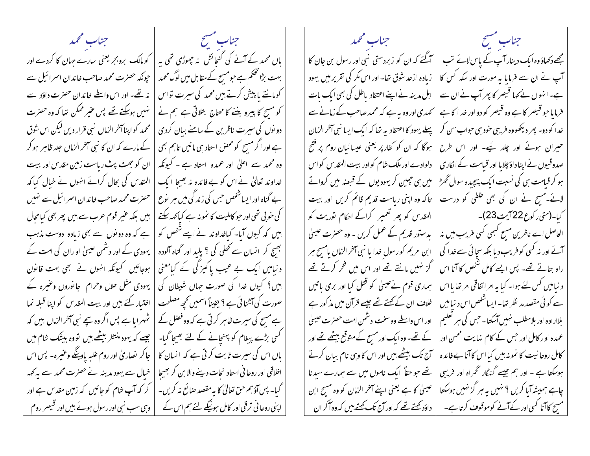جناب مشيح فسينتسخ المستعجب والمستحمد جناب محمد جناب مشيح باں محمد کے آنے کی گنجائش پنہ چھوڑی تھی یہ | کو مالک بروبجر یعنی سارے حہان کا کردے اور مجھے دکھاؤ وہ ایک دینار آپ کے پاس لائے تب ۔<br>| آگئے کہ ان کو زبردستی نبی اور رسول بن جان کا بہت بڑا گحکم ہے جومسچ کے مقابل میں لوگ محمد | حیونکہ حصرت محمد صاحب خاندان اسمرائیل سے زیادہ ازحد شوق تھا۔ اور اس مکر کی تقریر میں یہود آپ نے ان سے فرمایا بہ مورت اور سکہ کس کا کومانتے یا پیش کرتے ہیں محمد کی سپرت تواس | نہ تھے۔ اور اس واسطے خاندان حصرت داؤد سے اہل مدینہ نے اپنے اعتقاد پاطل کی بھی ایک بات ہے۔انہوں نے کہا قبیصر کا پھر آپ نے ان سے کو مسح کا پیرو بننے کا محتاج بتلائی ہے ہم نے | نہیں ہوسکتے تھے پس عنیر ممکن تعا کہ وہ حصرت کھیدی اور وہ بہ ہے کہ محمد صاحب کے زمانے سے فرمایا حو قبیصر کا ہے وہ قبیصر کو دو اور خد اکا ہے دونوں کی سیرت ناظرین کے سامنے بیان کردی | | محمد کواپنا آخر الزماں <sup>نبی</sup> قرار دیں لیکن اس شوق پہلے یہود کا اعتقاد یہ تھا کہ ایک ایسا نبی آخر الزمان خدا کو دو- پھر دیکھووہ فریسی خود سی حواب سن کر ہے اور اگر مسح کو محض استاد سی مانیں تاہم بھی | کے مارے کہ ان کا نبی آخر الزماں جلد ظاہر ہوکر ہوگا کہ ان کو کفار پر یعنی عیسائیان روم پر فتح حبیران ہوئے اور چلد ہے۔ اور اس طرح وہ محمد سے اعلیٰ اور عمدہ استاد ہے ۔ کیونکہ | ان کو جھٹ پٹ ریاست زمین مقدس اور بیت دلوادے اور ملک شام کو اور ببیت المقدس کو اس صدوقیوں نے اپنا داؤ چلایا اور قیامت کے انکاری خداوند تعالیٰ نے اس کو بے فائدہ نہ بھیجا ایک | المقدس کی بجال کرائے انہوں نے خیال کیا کہ ہو کر قیامت ہی کی نسبت ایک پیچیدہ سوال گھڑ | میں ہی چیین کریہودیوں کے قبصہ میں کرواتے تاکه وه اپنی رباست قدیم قائم کریں اور بیت بے گناہ اور ایسا شخص حس کی زند گی میں ہر یوع | حصرت محمد صاحب خاندان اسمرائیل سے ہنیں لائے۔مسح نے ان کی بھی علطی کو درست کی حویی تھی اور حبو کاملیت کا نمو نہ ہے کیاکہہ سکتے | بیں بلکہ عنیر قوم عرب سے بیں پھر بھی کیامحال | المقدس کو پھر تعمیر کراکے احکام نوریت کو كىا-(متى ركوع 22 آيت 23)-ہیں کہ کیوں آیا۔ کیاخداوند نے ایسے شخص کو | ہے کہ وہ دونوں سے بھی زیادہ دوست مذہب یدستور قدیم کے عمل کریں - وہ حصرت عیسیٰ الحاصل اے ناظرین مسح کبھی کسی فریب میں نہ بھیج کر انسان سے تھلی کی ؟ یلید اور گناہ آلودہ | یہودی کے اور دشمن عیسیٰ او ران کی امت کے آئے اور نہ کسی کو فریب دیا بلکہ سچائی سے خدا کی ابن مریم کورسول خدا یا نبی آخر الزماں بامسح ہر د نیامیں ایک بے عیب پاکیز گی کے کیامعنی | ہوجائیں کیونکہ انہوں نے سمجی بہت قانون گز نہیں مانتے تھے اور اس میں فخر کرتے تھے راہ بتاتے تھے۔ پس ایسے کامل شخص کا آنا اس ہیں؟ کیوں خدا کی صورت جہاں شیطان کی | یہودی مثل حلال وحرام ہجانوروں وعنیرہ کے ہماری قوم نےعیسیٰ کو قتل کیا اور بری باتیں د نیامیں کس لئے ہوا۔ کیا بہ امر اتفاقی امر تھا یااس صورت کی آشنا ئی ہے ؟ یقیناً اسمیں تحچھ مصلحت | اختیار کئے ہیں اور بیت المقدس کو اپنا قبلہ نما خلاف ان کے کھنے تھے جیسے قرآن میں مذکور ہے سے کوئی مقصد مد نظر تھا۔ ایساشخص اس د نیامیں اور اس واسطے وہ سخت دشمن امت حصرت عیسیٰ ہے مسح کی سیرت ظاہر کرتی ہے کہ وہ فصل کے | ٹھہرایا ہے پس اگر وہ سچے نبی آخر الزماں بیں کہ بلاارادہ اور بلامطلب نہیں آسکتا۔جس کی ہر تعلیم کسی بڑے پیغام کو پہنچانے کے لئے بھیجا گیا۔ | جیسے کہ یہود منتظر بیٹھے ہیں تووہ بیٹنک شام میں کے تھے۔ وہ ایک اور مسح کے متوقع بیٹھے تھے اور عمدہ او رکامل اور جس کے کام نہایت محسن اور باں اس کی سیرت ثابت کر تی ہے کہ انسان کا | جاکر نصاریٰ اور روم علیہ بادینگے وعنیرہ۔ پس اس آج تک بیٹھے ہیں اور اس کاوہی نام بیان کرتے کامل روحا نیت کا نمونہ بیں کیااس کاآنا بے فائدہ اخلاقی اور روحا فی استاد نحات دینے والا بن کر بھیجا | خیال سے یہودیدینہ نے حصرت محمد سے بہ کہہ تھے جو حقاً ایک ناموں میں سے ہمارے سید نا ہوسکتا ہے ۔ اور ہم جیسے گنہگار تھمراہ اور فریبی چاہے ہمیشہ آیا کریں ؟ نہیں یہ ہر گز نہیں ہوسکتا گیا۔ پس آؤہم حق تعالیٰ کا بہ مقصد صائع نہ کریں۔ | کر کہ آپ شام کو جائیں کہ زمین مقدس ہے اور عیسیٰ کا ہے یعنی اپنے آخر الزمان کو وہ مسح ابن اپنی روحا فی ترقی اور کامل ہونیکے لئے ہم اس کے لیے او پی سب نبی اور رسول ہوئے بیں اور قبیصر روم داؤد کھتے تھے کہ اور آج تک کھتے ہیں کہ وہ آکر ان مسح کاآنا کسی اور کے آنے کوموقوف کرتاہے۔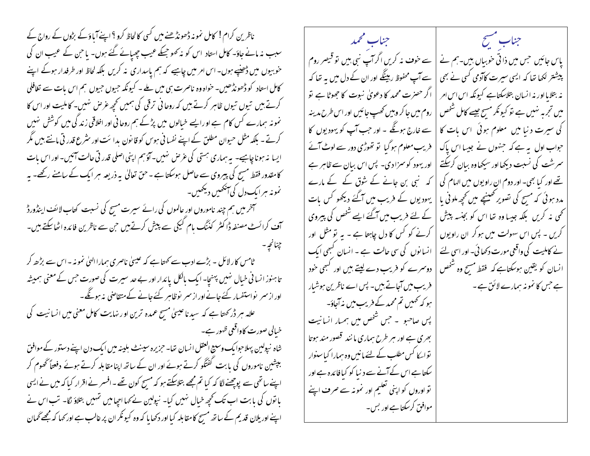ناظرین کرام ! کامل نمو نہ ڈھونڈھنے میں کسی کالحاظ کرو ؟ اپنےآباؤ کے بڑوں کے رواج کے سبب نہ مانے جاؤ۔ کامل استاد اس کو نہ کھو جسکے عیب چھپائے گئے ہوں۔ یا حن کے عیب ان کی خوبیوں میں ڈھنپے ہوں- اس امر میں چاہیے کہ ہم پاسداری نہ کریں بلکہ لحاظ اور طرفدار ہوگے اپنے کامل استاد کو ڈھونڈھیں۔ خواہ وہ ناصرت ہی میں ملے ۔ کیونکہ حبیوں حبیوں ہم اس بات سے تغافلی کرتے ہیں تیوں تیوں ظاہر کرتے ہیں کہ روحانی ترقی کی ہمیں تحچہ عرص نہیں۔ کاملیت اور اس کا نمونہ ہمارے کس کام ہے او رایسے خیالوں میں پڑکے ہم روحانی اور اخلاقی زند گی میں کوشش نہیں کرتے ۔ بلکہ مثل حیوان مطلق کے اپنے نفسا فی ہوس کو قانون بدا سَت اور سٹرع قدر تی مانتے ہیں مگر ایسا په ہوناچاہیے۔ بہ ہماری ہستی کی عرص نہیں۔آؤہم اپنی اصلی قدر تی حالت آئیں۔اور اس بات کامقدور فقط مسیح کی پیروی سے حاصل ہوسکتا ہے ۔ حق تعالیٰ یہ ذریعہ ہر ایک کے سامنے رکھے۔ یہ نمونه مبرایک دل کی آنکھیں دیکھیں۔ ہخرمیں ہم چند ناموروں اورِ عالموں کی رائے سیرت مسیح کی نسبت کتاب لائف اینڈورڈ آف کرائسٹ مصنفہ ڈاکٹر کڈنگ بام کیکی سے پیش کرتے ہیں حن سے ناظرین فائدہ اٹھاسکتے ہیں۔ <sub>طا</sub>مس کار لائل ۔ بڑے ادب سے کہتا ہے کہ عیسیٰ ناصری ہماراا<sup>ل</sup>یٰ نمونہ ۔اس سے بڑھے کر تا ہنوز انسانی خیال نہیں پہنچا۔ ایک بالکل پائدار اور بے حد سیرت کی صورت حس کے معنی ہمیشہ اور از سمر نواستفسار کئے جانے اور از سمر پوظامبر کئے جانے کے متقاصی بنہ ہونگے۔ علامہ ہر ڈر کھتا ہے کہ سید نا عیسیٰ مسیح عمدہ ترین اور نہایت کامل معنی میں انسانیت کی خيالي صورت كاواقعي ظهور ہے۔ شاہ نیولین پہلاحوا یک وسیع العقل انسان تھا۔ حزیرہ سینٹ بلینہ میں ایک دن اپنے دستور کے موافق بپشین ناموروں کی بابت گفتگو کرتے ہوئے اور ان کے ساتھ اپنا مقابلہ کرتے ہوئے دفعتاً گھوم کر اپنے ساتھی سے پوچھنے لگا کہ کیا تم مجھے بتلاسکتے ہو کہ مسیح کون تھے ۔افسر نے اقرار کیا کہ میں نے ایسی با نوں کی بابت اب تک تحییہ خیال نہیں کیا۔ نیولین نے کہا اجیا میں تہیں بتلاؤ لگا۔ تب اس نے اپنے اور یلان قدیم کے ساتھ مسیح کامقابلہ کیا اور دکھایا کہ وہ کیونکر ان پر غالب ہے اور کہا کہ مجھے گھان

جناب مشيح فللمستخلص المستحصلين المحمد پاس جائیں جس میں ذاتی خوبیاں ہیں۔ہم نے | سے خوف نہ کریں اگر آپ نبی ہیں تو قیصر روم بیشتر لکھا تھا کہ ایسی سیرت کاآدمی کسی نے بھی | سے آپ محفوظ رہینگے اور ان کے دل میں یہ تھا کہ | اگر حصرت محمد کا دعویٰ نبوت کا جھوٹا ہے تو نہ بتلایااور نہ ا نسان بتلاسکتاہے کیونکہ اس اس امر | روم میں جا کر وہیں تھپ جائیں اور اس طرح مدینہ میں تجربہ نہیں ہے تو کیونکر مسح جیسے کامل شخص سے خارج ہوگگے ۔ اور حب آپ کو یہود یوں کا کی سیرت دنیا میں معلوم ہوئی اس بات کا حواب اول یہ ہے کہ جنہوں نے جیسا اس پاک فریب معلوم ہوگیا تو تھوڑی دور سے لوٹ آئے اور یہود کو سمزا دی۔ پس اس بیان سے ظاہر ہے سمرشت کی نسبت دیکھا اور سیکھاوہ بیان کرسکتے کہ نبی بن جانے کے شوق کے کے مارے تھے اور کیا بھی۔ اور دوم ان راویوں میں الہام کی یہودیوں کے فریب میں آگئے دیکھو کس بات یدد ہوئی کہ مسح کی تصویر کھینیچے میں تحیمہ ملونی یا کے لئے فریب میں آگئے ایسے شخص کی پیروی نحمی نه کریں بلکہ جیسا وہ تھا اس کو بجنسہ پیش کرنے کو کس کا دل چاہتا ہے ۔ یہ تو مثل اور کریں ۔ پس اس سہولت میں ہوکر ان را**ویو**ں انسانوں کی سی حالت ہے ۔ انسان کیبھی ایک نے کاملیت کی واقعی مورت دکھا ئی۔ اور اسی لئے دوسرے کو فریب دے لیتے ہیں اور کسجی حود انسان کو یقین ہوسکتاہے کہ فقط مسح وہ شخص کے خریب میں آجاتے ہیں۔ پس اے ناظرین ہوشیار ہے جس کا نمو نہ ہمارے لائق ہے ۔ | ہو کہ ٹھمیں تم محمد کے فریب میں مذاجاؤ۔ پس صاحبو ۔حبس شخص میں ہمبار انسانیت بھری ہے اور ہر طرح ہماری مانند قصور مند ہوتا تواسکا کس مطلب کے لئے مانیں وہ ہمارا کیاسنوار | سکتا ہے اس کے آنے سے د نیا کو کیافا ئدہ ہے اور تو اوروں کو اپنی تعلیم اور نمونہ سے صرف اپنے موافق کرسکتا ہے اور بس۔